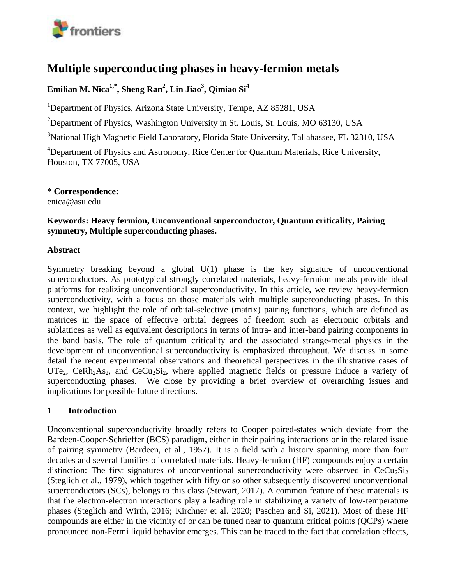

# **Multiple superconducting phases in heavy-fermion metals**

## **Emilian M. Nica1,\* , Sheng Ran<sup>2</sup> , Lin Jiao<sup>3</sup> , Qimiao Si<sup>4</sup>**

<sup>1</sup>Department of Physics, Arizona State University, Tempe, AZ 85281, USA

<sup>2</sup>Department of Physics, Washington University in St. Louis, St. Louis, MO 63130, USA

<sup>3</sup>National High Magnetic Field Laboratory, Florida State University, Tallahassee, FL 32310, USA

<sup>4</sup>Department of Physics and Astronomy, Rice Center for Quantum Materials, Rice University, Houston, TX 77005, USA

**\* Correspondence:**  enica@asu.edu

#### **Keywords: Heavy fermion, Unconventional** s**uperconductor, Quantum criticality, Pairing symmetry, Multiple superconducting phases.**

#### **Abstract**

Symmetry breaking beyond a global U(1) phase is the key signature of unconventional superconductors. As prototypical strongly correlated materials, heavy-fermion metals provide ideal platforms for realizing unconventional superconductivity. In this article, we review heavy-fermion superconductivity, with a focus on those materials with multiple superconducting phases. In this context, we highlight the role of orbital-selective (matrix) pairing functions, which are defined as matrices in the space of effective orbital degrees of freedom such as electronic orbitals and sublattices as well as equivalent descriptions in terms of intra- and inter-band pairing components in the band basis. The role of quantum criticality and the associated strange-metal physics in the development of unconventional superconductivity is emphasized throughout. We discuss in some detail the recent experimental observations and theoretical perspectives in the illustrative cases of UTe<sub>2</sub>, CeRh<sub>2</sub>As<sub>2</sub>, and CeCu<sub>2</sub>Si<sub>2</sub>, where applied magnetic fields or pressure induce a variety of superconducting phases. We close by providing a brief overview of overarching issues and implications for possible future directions.

## **1 Introduction**

Unconventional superconductivity broadly refers to Cooper paired-states which deviate from the Bardeen-Cooper-Schrieffer (BCS) paradigm, either in their pairing interactions or in the related issue of pairing symmetry (Bardeen, et al., 1957). It is a field with a history spanning more than four decades and several families of correlated materials. Heavy-fermion (HF) compounds enjoy a certain distinction: The first signatures of unconventional superconductivity were observed in  $CeCu<sub>2</sub>Si<sub>2</sub>$ (Steglich et al., 1979), which together with fifty or so other subsequently discovered unconventional superconductors (SCs), belongs to this class (Stewart, 2017). A common feature of these materials is that the electron-electron interactions play a leading role in stabilizing a variety of low-temperature phases (Steglich and Wirth, 2016; Kirchner et al. 2020; Paschen and Si, 2021). Most of these HF compounds are either in the vicinity of or can be tuned near to quantum critical points (QCPs) where pronounced non-Fermi liquid behavior emerges. This can be traced to the fact that correlation effects,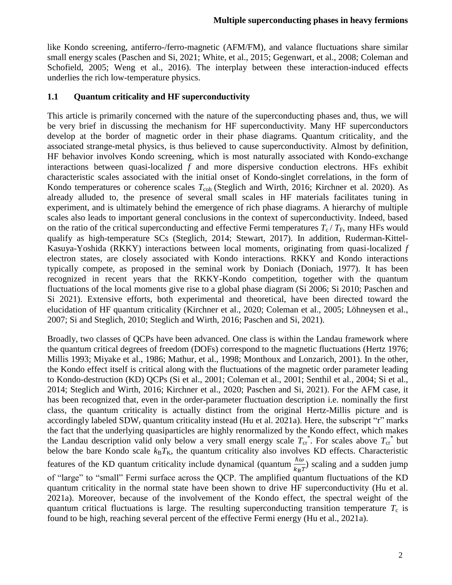like Kondo screening, antiferro-/ferro-magnetic (AFM/FM), and valance fluctuations share similar small energy scales (Paschen and Si, 2021; White, et al., 2015; Gegenwart, et al., 2008; Coleman and Schofield, 2005; Weng et al., 2016). The interplay between these interaction-induced effects underlies the rich low-temperature physics.

#### **1.1 Quantum criticality and HF superconductivity**

This article is primarily concerned with the nature of the superconducting phases and, thus, we will be very brief in discussing the mechanism for HF superconductivity. Many HF superconductors develop at the border of magnetic order in their phase diagrams. Quantum criticality, and the associated strange-metal physics, is thus believed to cause superconductivity. Almost by definition, HF behavior involves Kondo screening, which is most naturally associated with Kondo-exchange interactions between quasi-localized *f* and more dispersive conduction electrons. HFs exhibit characteristic scales associated with the initial onset of Kondo-singlet correlations, in the form of Kondo temperatures or coherence scales  $T_{coh}$  (Steglich and Wirth, 2016; Kirchner et al. 2020). As already alluded to, the presence of several small scales in HF materials facilitates tuning in experiment, and is ultimately behind the emergence of rich phase diagrams. A hierarchy of multiple scales also leads to important general conclusions in the context of superconductivity. Indeed, based on the ratio of the critical superconducting and effective Fermi temperatures  $T_c / T_F$ , many HFs would qualify as high-temperature SCs (Steglich, 2014; Stewart, 2017). In addition, Ruderman-Kittel-Kasuya-Yoshida (RKKY) interactions between local moments, originating from quasi-localized *f* electron states, are closely associated with Kondo interactions. RKKY and Kondo interactions typically compete, as proposed in the seminal work by Doniach (Doniach, 1977). It has been recognized in recent years that the RKKY-Kondo competition, together with the quantum fluctuations of the local moments give rise to a global phase diagram (Si 2006; Si 2010; Paschen and Si 2021). Extensive efforts, both experimental and theoretical, have been directed toward the elucidation of HF quantum criticality (Kirchner et al., 2020; Coleman et al., 2005; Löhneysen et al., 2007; Si and Steglich, 2010; Steglich and Wirth, 2016; Paschen and Si, 2021).

Broadly, two classes of QCPs have been advanced. One class is within the Landau framework where the quantum critical degrees of freedom (DOFs) correspond to the magnetic fluctuations (Hertz 1976; Millis 1993; Miyake et al., 1986; Mathur, et al., 1998; Monthoux and Lonzarich, 2001). In the other, the Kondo effect itself is critical along with the fluctuations of the magnetic order parameter leading to Kondo-destruction (KD) QCPs (Si et al., 2001; Coleman et al., 2001; Senthil et al., 2004; Si et al., 2014; Steglich and Wirth, 2016; Kirchner et al., 2020; Paschen and Si, 2021). For the AFM case, it has been recognized that, even in the order-parameter fluctuation description i.e. nominally the first class, the quantum criticality is actually distinct from the original Hertz-Millis picture and is accordingly labeled  $SDW_r$  quantum criticality instead (Hu et al. 2021a). Here, the subscript "r" marks the fact that the underlying quasiparticles are highly renormalized by the Kondo effect, which makes the Landau description valid only below a very small energy scale  $T_{cr}^*$ . For scales above  $T_{cr}^*$  but below the bare Kondo scale  $k_B T_K$ , the quantum criticality also involves KD effects. Characteristic features of the KD quantum criticality include dynamical (quantum  $\frac{\hbar \omega}{k_B T}$ ) scaling and a sudden jump of "large" to "small" Fermi surface across the QCP. The amplified quantum fluctuations of the KD quantum criticality in the normal state have been shown to drive HF superconductivity (Hu et al. 2021a). Moreover, because of the involvement of the Kondo effect, the spectral weight of the quantum critical fluctuations is large. The resulting superconducting transition temperature  $T_c$  is found to be high, reaching several percent of the effective Fermi energy (Hu et al., 2021a).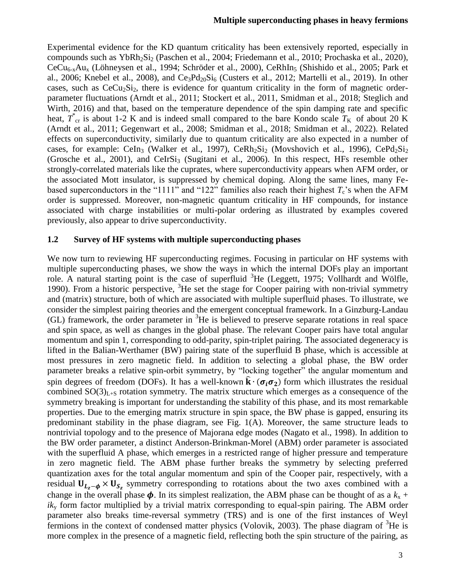Experimental evidence for the KD quantum criticality has been extensively reported, especially in compounds such as YbRh<sub>2</sub>Si<sub>2</sub> (Paschen et al., 2004; Friedemann et al., 2010; Prochaska et al., 2020),  $CeCu_{6-x}Au_{x}$  (Löhneysen et al., 1994; Schröder et al., 2000), CeRhIn<sub>5</sub> (Shishido et al., 2005; Park et al., 2006; Knebel et al., 2008), and  $Ce_3Pd_{20}Si_6$  (Custers et al., 2012; Martelli et al., 2019). In other cases, such as  $CeCu<sub>2</sub>Si<sub>2</sub>$ , there is evidence for quantum criticality in the form of magnetic orderparameter fluctuations (Arndt et al., 2011; Stockert et al., 2011, Smidman et al., 2018; Steglich and Wirth, 2016) and that, based on the temperature dependence of the spin damping rate and specific heat,  $T^*_{\text{cr}}$  is about 1-2 K and is indeed small compared to the bare Kondo scale  $T_K$  of about 20 K (Arndt et al., 2011; Gegenwart et al., 2008; Smidman et al., 2018; Smidman et al., 2022). Related effects on superconductivity, similarly due to quantum criticality are also expected in a number of cases, for example: CeIn<sub>3</sub> (Walker et al., 1997), CeRh<sub>2</sub>Si<sub>2</sub> (Movshovich et al., 1996), CePd<sub>2</sub>Si<sub>2</sub> (Grosche et al., 2001), and CeIrSi<sub>3</sub> (Sugitani et al., 2006). In this respect, HFs resemble other strongly-correlated materials like the cuprates, where superconductivity appears when AFM order, or the associated Mott insulator, is suppressed by chemical doping. Along the same lines, many Febased superconductors in the "1111" and "122" families also reach their highest  $T_c$ 's when the AFM order is suppressed. Moreover, non-magnetic quantum criticality in HF compounds, for instance associated with charge instabilities or multi-polar ordering as illustrated by examples covered previously, also appear to drive superconductivity.

#### **1.2 Survey of HF systems with multiple superconducting phases**

We now turn to reviewing HF superconducting regimes. Focusing in particular on HF systems with multiple superconducting phases, we show the ways in which the internal DOFs play an important role. A natural starting point is the case of superfluid  ${}^{3}$ He (Leggett, 1975; Vollhardt and Wölfle, 1990). From a historic perspective,  ${}^{3}$ He set the stage for Cooper pairing with non-trivial symmetry and (matrix) structure, both of which are associated with multiple superfluid phases. To illustrate, we consider the simplest pairing theories and the emergent conceptual framework. In a Ginzburg-Landau (GL) framework, the order parameter in <sup>3</sup>He is believed to preserve separate rotations in real space and spin space, as well as changes in the global phase. The relevant Cooper pairs have total angular momentum and spin 1, corresponding to odd-parity, spin-triplet pairing. The associated degeneracy is lifted in the Balian-Werthamer (BW) pairing state of the superfluid B phase, which is accessible at most pressures in zero magnetic field. In addition to selecting a global phase, the BW order parameter breaks a relative spin-orbit symmetry, by "locking together" the angular momentum and spin degrees of freedom (DOFs). It has a well-known  $\hat{\mathbf{k}} \cdot (\sigma_i \sigma_2)$  form which illustrates the residual combined  $SO(3)_{L+S}$  rotation symmetry. The matrix structure which emerges as a consequence of the symmetry breaking is important for understanding the stability of this phase, and its most remarkable properties. Due to the emerging matrix structure in spin space, the BW phase is gapped, ensuring its predominant stability in the phase diagram, see Fig. 1(A). Moreover, the same structure leads to nontrivial topology and to the presence of Majorana edge modes (Nagato et al., 1998). In addition to the BW order parameter, a distinct Anderson-Brinkman-Morel (ABM) order parameter is associated with the superfluid A phase, which emerges in a restricted range of higher pressure and temperature in zero magnetic field. The ABM phase further breaks the symmetry by selecting preferred quantization axes for the total angular momentum and spin of the Cooper pair, respectively, with a residual  $U_{L_z - \phi} \times U_{S_z}$  symmetry corresponding to rotations about the two axes combined with a change in the overall phase  $\phi$ . In its simplest realization, the ABM phase can be thought of as a  $k_x$  + *ik*<sup>y</sup> form factor multiplied by a trivial matrix corresponding to equal-spin pairing. The ABM order parameter also breaks time-reversal symmetry (TRS) and is one of the first instances of Weyl fermions in the context of condensed matter physics (Volovik, 2003). The phase diagram of  ${}^{3}$ He is more complex in the presence of a magnetic field, reflecting both the spin structure of the pairing, as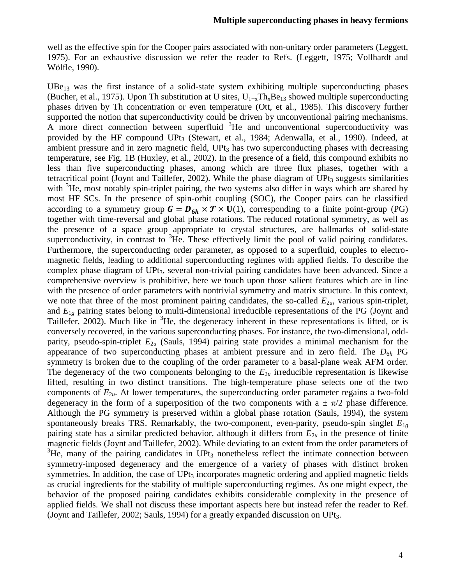well as the effective spin for the Cooper pairs associated with non-unitary order parameters (Leggett, 1975). For an exhaustive discussion we refer the reader to Refs. (Leggett, 1975; Vollhardt and Wölfle, 1990).

 $UBe_{13}$  was the first instance of a solid-state system exhibiting multiple superconducting phases (Bucher, et al., 1975). Upon Th substitution at U sites,  $U_{1-x}Th_xBe_{13}$  showed multiple superconducting phases driven by Th concentration or even temperature (Ott, et al., 1985). This discovery further supported the notion that superconductivity could be driven by unconventional pairing mechanisms. A more direct connection between superfluid <sup>3</sup>He and unconventional superconductivity was provided by the HF compound UPt<sub>3</sub> (Stewart, et al., 1984; Adenwalla, et al., 1990). Indeed, at ambient pressure and in zero magnetic field,  $UPt<sub>3</sub>$  has two superconducting phases with decreasing temperature, see Fig. 1B (Huxley, et al., 2002). In the presence of a field, this compound exhibits no less than five superconducting phases, among which are three flux phases, together with a tetracritical point (Joynt and Taillefer, 2002). While the phase diagram of  $UPt<sub>3</sub>$  suggests similarities with <sup>3</sup>He, most notably spin-triplet pairing, the two systems also differ in ways which are shared by most HF SCs. In the presence of spin-orbit coupling (SOC), the Cooper pairs can be classified according to a symmetry group  $G = D_{6h} \times T \times U(1)$ , corresponding to a finite point-group (PG) together with time-reversal and global phase rotations. The reduced rotational symmetry, as well as the presence of a space group appropriate to crystal structures, are hallmarks of solid-state superconductivity, in contrast to  ${}^{3}$ He. These effectively limit the pool of valid pairing candidates. Furthermore, the superconducting order parameter, as opposed to a superfluid, couples to electromagnetic fields, leading to additional superconducting regimes with applied fields. To describe the complex phase diagram of UPt<sub>3</sub>, several non-trivial pairing candidates have been advanced. Since a comprehensive overview is prohibitive, here we touch upon those salient features which are in line with the presence of order parameters with nontrivial symmetry and matrix structure. In this context, we note that three of the most prominent pairing candidates, the so-called  $E_{2u}$ , various spin-triplet, and *E*1*<sup>g</sup>* pairing states belong to multi-dimensional irreducible representations of the PG (Joynt and Taillefer, 2002). Much like in  ${}^{3}$ He, the degeneracy inherent in these representations is lifted, or is conversely recovered, in the various superconducting phases. For instance, the two-dimensional, oddparity, pseudo-spin-triplet  $E_{2u}$  (Sauls, 1994) pairing state provides a minimal mechanism for the appearance of two superconducting phases at ambient pressure and in zero field. The *D*6*<sup>h</sup>* PG symmetry is broken due to the coupling of the order parameter to a basal-plane weak AFM order. The degeneracy of the two components belonging to the  $E_{2u}$  irreducible representation is likewise lifted, resulting in two distinct transitions. The high-temperature phase selects one of the two components of  $E_{2u}$ . At lower temperatures, the superconducting order parameter regains a two-fold degeneracy in the form of a superposition of the two components with a  $\pm \pi/2$  phase difference. Although the PG symmetry is preserved within a global phase rotation (Sauls, 1994), the system spontaneously breaks TRS. Remarkably, the two-component, even-parity, pseudo-spin singlet  $E_{1g}$ pairing state has a similar predicted behavior, although it differs from  $E_{2u}$  in the presence of finite magnetic fields (Joynt and Taillefer, 2002). While deviating to an extent from the order parameters of  ${}^{3}$ He, many of the pairing candidates in UPt<sub>3</sub> nonetheless reflect the intimate connection between symmetry-imposed degeneracy and the emergence of a variety of phases with distinct broken symmetries. In addition, the case of  $UPt<sub>3</sub>$  incorporates magnetic ordering and applied magnetic fields as crucial ingredients for the stability of multiple superconducting regimes. As one might expect, the behavior of the proposed pairing candidates exhibits considerable complexity in the presence of applied fields. We shall not discuss these important aspects here but instead refer the reader to Ref. (Joynt and Taillefer, 2002; Sauls, 1994) for a greatly expanded discussion on UPt<sub>3</sub>.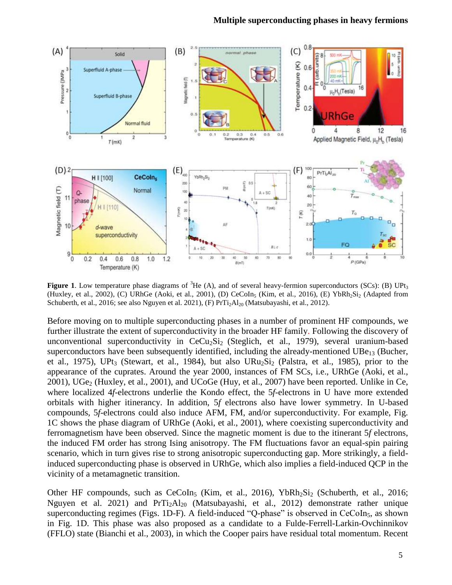#### **Multiple superconducting phases in heavy fermions**



**Figure** 1. Low temperature phase diagrams of <sup>3</sup>He (A), and of several heavy-fermion superconductors (SCs): (B) UPt<sub>3</sub> (Huxley, et al., 2002), (C) URhGe (Aoki, et al., 2001), (D) CeCoIn<sub>5</sub> (Kim, et al., 2016), (E) YbRh<sub>2</sub>Si<sub>2</sub> (Adapted from Schuberth, et al., 2016; see also Nguyen et al. 2021), (F)  $PrTi<sub>2</sub>Al<sub>20</sub>$  (Matsubayashi, et al., 2012).

Before moving on to multiple superconducting phases in a number of prominent HF compounds, we further illustrate the extent of superconductivity in the broader HF family. Following the discovery of unconventional superconductivity in  $CeCu<sub>2</sub>Si<sub>2</sub>$  (Steglich, et al., 1979), several uranium-based superconductors have been subsequently identified, including the already-mentioned  $UBe_{13}$  (Bucher, et al., 1975), UPt<sub>3</sub> (Stewart, et al., 1984), but also URu<sub>2</sub>Si<sub>2</sub> (Palstra, et al., 1985), prior to the appearance of the cuprates. Around the year 2000, instances of FM SCs, i.e., URhGe (Aoki, et al.,  $2001$ ), UGe<sub>2</sub> (Huxley, et al., 2001), and UCoGe (Huy, et al., 2007) have been reported. Unlike in Ce, where localized 4*f*-electrons underlie the Kondo effect, the 5*f*-electrons in U have more extended orbitals with higher itinerancy. In addition, 5*f* electrons also have lower symmetry. In U-based compounds, 5*f*-electrons could also induce AFM, FM, and/or superconductivity. For example, Fig. 1C shows the phase diagram of URhGe (Aoki, et al., 2001), where coexisting superconductivity and ferromagnetism have been observed. Since the magnetic moment is due to the itinerant 5*f* electrons, the induced FM order has strong Ising anisotropy. The FM fluctuations favor an equal-spin pairing scenario, which in turn gives rise to strong anisotropic superconducting gap. More strikingly, a fieldinduced superconducting phase is observed in URhGe, which also implies a field-induced QCP in the vicinity of a metamagnetic transition.

Other HF compounds, such as  $CeCoIn<sub>5</sub>$  (Kim, et al., 2016), YbRh<sub>2</sub>Si<sub>2</sub> (Schuberth, et al., 2016; Nguyen et al. 2021) and PrTi2Al<sup>20</sup> (Matsubayashi, et al., 2012) demonstrate rather unique superconducting regimes (Figs. 1D-F). A field-induced "Q-phase" is observed in  $CeCoIn<sub>5</sub>$ , as shown in Fig. 1D. This phase was also proposed as a candidate to a Fulde-Ferrell-Larkin-Ovchinnikov (FFLO) state (Bianchi et al., 2003), in which the Cooper pairs have residual total momentum. Recent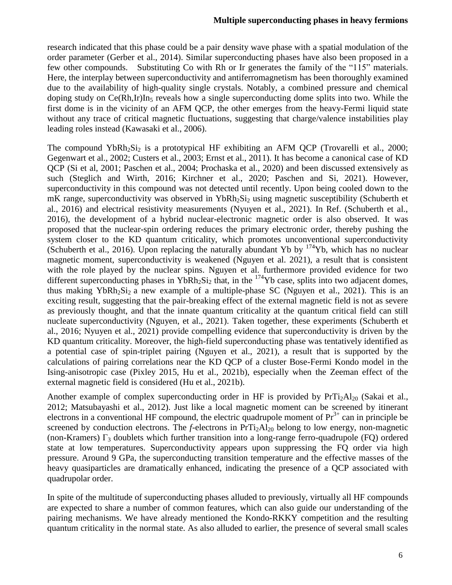research indicated that this phase could be a pair density wave phase with a spatial modulation of the order parameter (Gerber et al., 2014). Similar superconducting phases have also been proposed in a few other compounds. Substituting Co with Rh or Ir generates the family of the "115" materials. Here, the interplay between superconductivity and antiferromagnetism has been thoroughly examined due to the availability of high-quality single crystals. Notably, a combined pressure and chemical doping study on  $Ce(Rh,Ir)$ In<sub>5</sub> reveals how a single superconducting dome splits into two. While the first dome is in the vicinity of an AFM QCP, the other emerges from the heavy-Fermi liquid state without any trace of critical magnetic fluctuations, suggesting that charge/valence instabilities play leading roles instead (Kawasaki et al., 2006).

The compound YbRh<sub>2</sub>Si<sub>2</sub> is a prototypical HF exhibiting an AFM QCP (Trovarelli et al., 2000; Gegenwart et al., 2002; Custers et al., 2003; Ernst et al., 2011). It has become a canonical case of KD QCP (Si et al, 2001; Paschen et al., 2004; Prochaska et al., 2020) and been discussed extensively as such (Steglich and Wirth, 2016; Kirchner et al., 2020; Paschen and Si, 2021). However, superconductivity in this compound was not detected until recently. Upon being cooled down to the mK range, superconductivity was observed in YbRh<sub>2</sub>Si<sub>2</sub> using magnetic susceptibility (Schuberth et al., 2016) and electrical resistivity measurements (Nyuyen et al., 2021). In Ref. (Schuberth et al., 2016), the development of a hybrid nuclear-electronic magnetic order is also observed. It was proposed that the nuclear-spin ordering reduces the primary electronic order, thereby pushing the system closer to the KD quantum criticality, which promotes unconventional superconductivity (Schuberth et al., 2016). Upon replacing the naturally abundant Yb by <sup>174</sup>Yb, which has no nuclear magnetic moment, superconductivity is weakened (Nguyen et al. 2021), a result that is consistent with the role played by the nuclear spins. Nguyen et al. furthermore provided evidence for two different superconducting phases in YbRh<sub>2</sub>Si<sub>2</sub> that, in the <sup>174</sup>Yb case, splits into two adjacent domes, thus making YbRh<sub>2</sub>Si<sub>2</sub> a new example of a multiple-phase SC (Nguyen et al., 2021). This is an exciting result, suggesting that the pair-breaking effect of the external magnetic field is not as severe as previously thought, and that the innate quantum criticality at the quantum critical field can still nucleate superconductivity (Nguyen, et al., 2021). Taken together, these experiments (Schuberth et al., 2016; Nyuyen et al., 2021) provide compelling evidence that superconductivity is driven by the KD quantum criticality. Moreover, the high-field superconducting phase was tentatively identified as a potential case of spin-triplet pairing (Nguyen et al., 2021), a result that is supported by the calculations of pairing correlations near the KD QCP of a cluster Bose-Fermi Kondo model in the Ising-anisotropic case (Pixley 2015, Hu et al., 2021b), especially when the Zeeman effect of the external magnetic field is considered (Hu et al., 2021b).

Another example of complex superconducting order in HF is provided by  $PrTi<sub>2</sub>Al<sub>20</sub>$  (Sakai et al., 2012; Matsubayashi et al., 2012). Just like a local magnetic moment can be screened by itinerant electrons in a conventional HF compound, the electric quadrupole moment of  $Pr<sup>3+</sup>$  can in principle be screened by conduction electrons. The *f*-electrons in  $PrTi<sub>2</sub>Al<sub>20</sub>$  belong to low energy, non-magnetic (non-Kramers)  $\Gamma_3$  doublets which further transition into a long-range ferro-quadrupole (FQ) ordered state at low temperatures. Superconductivity appears upon suppressing the FQ order via high pressure. Around 9 GPa, the superconducting transition temperature and the effective masses of the heavy quasiparticles are dramatically enhanced, indicating the presence of a QCP associated with quadrupolar order.

In spite of the multitude of superconducting phases alluded to previously, virtually all HF compounds are expected to share a number of common features, which can also guide our understanding of the pairing mechanisms. We have already mentioned the Kondo-RKKY competition and the resulting quantum criticality in the normal state. As also alluded to earlier, the presence of several small scales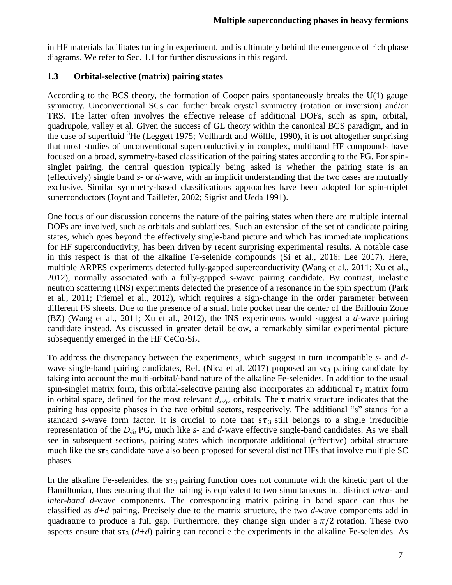in HF materials facilitates tuning in experiment, and is ultimately behind the emergence of rich phase diagrams. We refer to Sec. 1.1 for further discussions in this regard.

### **1.3 Orbital-selective (matrix) pairing states**

According to the BCS theory, the formation of Cooper pairs spontaneously breaks the U(1) gauge symmetry. Unconventional SCs can further break crystal symmetry (rotation or inversion) and/or TRS. The latter often involves the effective release of additional DOFs, such as spin, orbital, quadrupole, valley et al. Given the success of GL theory within the canonical BCS paradigm, and in the case of superfluid  ${}^{3}$ He (Leggett 1975; Vollhardt and Wölfle, 1990), it is not altogether surprising that most studies of unconventional superconductivity in complex, multiband HF compounds have focused on a broad, symmetry-based classification of the pairing states according to the PG. For spinsinglet pairing, the central question typically being asked is whether the pairing state is an (effectively) single band *s*- or *d*-wave, with an implicit understanding that the two cases are mutually exclusive. Similar symmetry-based classifications approaches have been adopted for spin-triplet superconductors (Joynt and Taillefer, 2002; Sigrist and Ueda 1991).

One focus of our discussion concerns the nature of the pairing states when there are multiple internal DOFs are involved, such as orbitals and sublattices. Such an extension of the set of candidate pairing states, which goes beyond the effectively single-band picture and which has immediate implications for HF superconductivity, has been driven by recent surprising experimental results. A notable case in this respect is that of the alkaline Fe-selenide compounds (Si et al., 2016; Lee 2017). Here, multiple ARPES experiments detected fully-gapped superconductivity (Wang et al., 2011; Xu et al., 2012), normally associated with a fully-gapped *s*-wave pairing candidate. By contrast, inelastic neutron scattering (INS) experiments detected the presence of a resonance in the spin spectrum (Park et al., 2011; Friemel et al., 2012), which requires a sign-change in the order parameter between different FS sheets. Due to the presence of a small hole pocket near the center of the Brillouin Zone (BZ) (Wang et al., 2011; Xu et al., 2012), the INS experiments would suggest a *d*-wave pairing candidate instead. As discussed in greater detail below, a remarkably similar experimental picture subsequently emerged in the HF  $CeCu<sub>2</sub>Si<sub>2</sub>$ .

To address the discrepancy between the experiments, which suggest in turn incompatible *s*- and *d*wave single-band pairing candidates, Ref. (Nica et al. 2017) proposed an  $s\tau_3$  pairing candidate by taking into account the multi-orbital/-band nature of the alkaline Fe-selenides. In addition to the usual spin-singlet matrix form, this orbital-selective pairing also incorporates an additional  $\tau_3$  matrix form in orbital space, defined for the most relevant  $d_{xz/yz}$  orbitals. The  $\tau$  matrix structure indicates that the pairing has opposite phases in the two orbital sectors, respectively. The additional "s" stands for a standard *s*-wave form factor. It is crucial to note that  $s\tau_3$  still belongs to a single irreducible representation of the *D4h* PG, much like *s*- and *d*-wave effective single-band candidates. As we shall see in subsequent sections, pairing states which incorporate additional (effective) orbital structure much like the  $s\tau_3$  candidate have also been proposed for several distinct HFs that involve multiple SC phases.

In the alkaline Fe-selenides, the  $s\tau_3$  pairing function does not commute with the kinetic part of the Hamiltonian, thus ensuring that the pairing is equivalent to two simultaneous but distinct *intra-* and *inter-band d*-wave components. The corresponding matrix pairing in band space can thus be classified as *d+d* pairing. Precisely due to the matrix structure, the two *d*-wave components add in quadrature to produce a full gap. Furthermore, they change sign under a  $\pi/2$  rotation. These two aspects ensure that  $s\tau_3$  ( $d+d$ ) pairing can reconcile the experiments in the alkaline Fe-selenides. As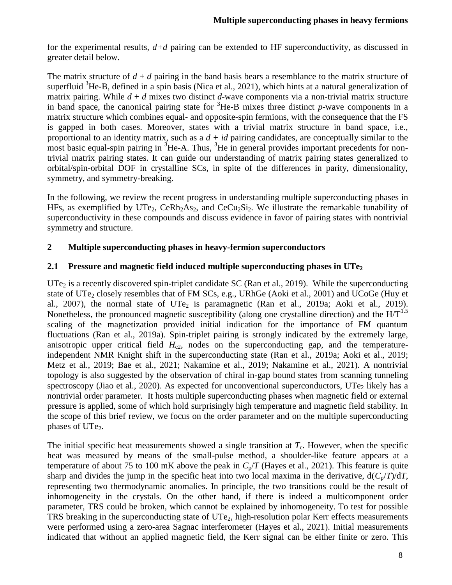for the experimental results, *d+d* pairing can be extended to HF superconductivity, as discussed in greater detail below.

The matrix structure of  $d + d$  pairing in the band basis bears a resemblance to the matrix structure of superfluid  ${}^{3}$ He-B, defined in a spin basis (Nica et al., 2021), which hints at a natural generalization of matrix pairing. While  $d + d$  mixes two distinct  $d$ -wave components via a non-trivial matrix structure in band space, the canonical pairing state for  ${}^{3}$ He-B mixes three distinct *p*-wave components in a matrix structure which combines equal- and opposite-spin fermions, with the consequence that the FS is gapped in both cases. Moreover, states with a trivial matrix structure in band space, i.e., proportional to an identity matrix, such as a *d + id* pairing candidates, are conceptually similar to the most basic equal-spin pairing in  ${}^{3}$ He-A. Thus,  ${}^{3}$ He in general provides important precedents for nontrivial matrix pairing states. It can guide our understanding of matrix pairing states generalized to orbital/spin-orbital DOF in crystalline SCs, in spite of the differences in parity, dimensionality, symmetry, and symmetry-breaking.

In the following, we review the recent progress in understanding multiple superconducting phases in HFs, as exemplified by UTe<sub>2</sub>, CeRh<sub>2</sub>As<sub>2</sub>, and CeCu<sub>2</sub>Si<sub>2</sub>. We illustrate the remarkable tunability of superconductivity in these compounds and discuss evidence in favor of pairing states with nontrivial symmetry and structure.

## **2 Multiple superconducting phases in heavy-fermion superconductors**

#### **2.1 Pressure and magnetic field induced multiple superconducting phases in UTe<sup>2</sup>**

 $UTe<sub>2</sub>$  is a recently discovered spin-triplet candidate SC (Ran et al., 2019). While the superconducting state of  $UTe_2$  closely resembles that of FM SCs, e.g., URhGe (Aoki et al., 2001) and UCoGe (Huy et al., 2007), the normal state of  $UTe<sub>2</sub>$  is paramagnetic (Ran et al., 2019a; Aoki et al., 2019). Nonetheless, the pronounced magnetic susceptibility (along one crystalline direction) and the  $H/T^{1.5}$ scaling of the magnetization provided initial indication for the importance of FM quantum fluctuations (Ran et al., 2019a). Spin-triplet pairing is strongly indicated by the extremely large, anisotropic upper critical field  $H_{c2}$ , nodes on the superconducting gap, and the temperatureindependent NMR Knight shift in the superconducting state (Ran et al., 2019a; Aoki et al., 2019; Metz et al., 2019; Bae et al., 2021; Nakamine et al., 2019; Nakamine et al., 2021). A nontrivial topology is also suggested by the observation of chiral in-gap bound states from scanning tunneling spectroscopy (Jiao et al., 2020). As expected for unconventional superconductors,  $UTe<sub>2</sub>$  likely has a nontrivial order parameter. It hosts multiple superconducting phases when magnetic field or external pressure is applied, some of which hold surprisingly high temperature and magnetic field stability. In the scope of this brief review, we focus on the order parameter and on the multiple superconducting phases of UTe<sub>2</sub>.

The initial specific heat measurements showed a single transition at  $T_c$ . However, when the specific heat was measured by means of the small-pulse method, a shoulder-like feature appears at a temperature of about 75 to 100 mK above the peak in  $C_p/T$  (Hayes et al., 2021). This feature is quite sharp and divides the jump in the specific heat into two local maxima in the derivative,  $d(C_p/T)/dT$ , representing two thermodynamic anomalies. In principle, the two transitions could be the result of inhomogeneity in the crystals. On the other hand, if there is indeed a multicomponent order parameter, TRS could be broken, which cannot be explained by inhomogeneity. To test for possible TRS breaking in the superconducting state of  $UTe<sub>2</sub>$ , high-resolution polar Kerr effects measurements were performed using a zero-area Sagnac interferometer (Hayes et al., 2021). Initial measurements indicated that without an applied magnetic field, the Kerr signal can be either finite or zero. This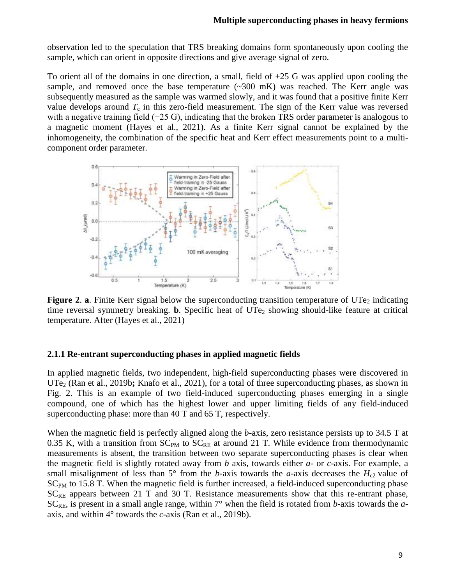observation led to the speculation that TRS breaking domains form spontaneously upon cooling the sample, which can orient in opposite directions and give average signal of zero.

To orient all of the domains in one direction, a small, field of +25 G was applied upon cooling the sample, and removed once the base temperature  $(\sim 300 \text{ mK})$  was reached. The Kerr angle was subsequently measured as the sample was warmed slowly, and it was found that a positive finite Kerr value develops around  $T_c$  in this zero-field measurement. The sign of the Kerr value was reversed with a negative training field (−25 G), indicating that the broken TRS order parameter is analogous to a magnetic moment (Hayes et al., 2021). As a finite Kerr signal cannot be explained by the inhomogeneity, the combination of the specific heat and Kerr effect measurements point to a multicomponent order parameter.



**Figure** 2. **a**. Finite Kerr signal below the superconducting transition temperature of UTe<sub>2</sub> indicating time reversal symmetry breaking. **b**. Specific heat of UTe<sub>2</sub> showing should-like feature at critical temperature. After (Hayes et al., 2021)

#### **2.1.1 Re-entrant superconducting phases in applied magnetic fields**

In applied magnetic fields, two independent, high-field superconducting phases were discovered in UTe<sub>2</sub> (Ran et al., 2019b; Knafo et al., 2021), for a total of three superconducting phases, as shown in Fig. 2. This is an example of two field-induced superconducting phases emerging in a single compound, one of which has the highest lower and upper limiting fields of any field-induced superconducting phase: more than 40 T and 65 T, respectively.

When the magnetic field is perfectly aligned along the *b*-axis, zero resistance persists up to 34.5 T at 0.35 K, with a transition from  $SC_{PM}$  to  $SC_{RE}$  at around 21 T. While evidence from thermodynamic measurements is absent, the transition between two separate superconducting phases is clear when the magnetic field is slightly rotated away from *b* axis, towards either *a*- or *c*-axis. For example, a small misalignment of less than  $5^\circ$  from the *b*-axis towards the *a*-axis decreases the  $H_{c2}$  value of  $SC<sub>PM</sub>$  to 15.8 T. When the magnetic field is further increased, a field-induced superconducting phase  $SC_{RE}$  appears between 21 T and 30 T. Resistance measurements show that this re-entrant phase,  $SC_{RE}$ , is present in a small angle range, within  $7^{\circ}$  when the field is rotated from *b*-axis towards the *a*axis, and within 4° towards the *c*-axis (Ran et al., 2019b).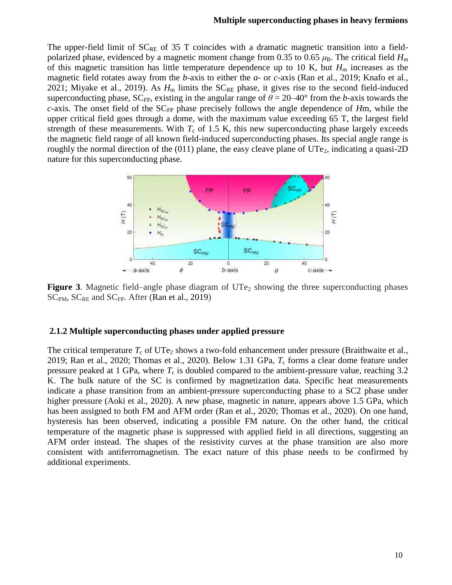#### **Multiple superconducting phases in heavy fermions**

The upper-field limit of  $SC_{RE}$  of 35 T coincides with a dramatic magnetic transition into a fieldpolarized phase, evidenced by a magnetic moment change from 0.35 to 0.65  $\mu$ B. The critical field  $H_m$ of this magnetic transition has little temperature dependence up to 10 K, but  $H<sub>m</sub>$  increases as the magnetic field rotates away from the *b*-axis to either the *a*- or *c*-axis (Ran et al., 2019; Knafo et al., 2021; Miyake et al., 2019). As  $H_m$  limits the  $SC_{RE}$  phase, it gives rise to the second field-induced superconducting phase,  $SC_{FP}$ , existing in the angular range of  $\theta = 20-40^{\circ}$  from the *b*-axis towards the *c*-axis. The onset field of the SC<sub>FP</sub> phase precisely follows the angle dependence of *H*m, while the upper critical field goes through a dome, with the maximum value exceeding 65 T, the largest field strength of these measurements. With  $T_c$  of 1.5 K, this new superconducting phase largely exceeds the magnetic field range of all known field-induced superconducting phases. Its special angle range is roughly the normal direction of the  $(011)$  plane, the easy cleave plane of UTe<sub>2</sub>, indicating a quasi-2D nature for this superconducting phase.



**Figure** 3. Magnetic field–angle phase diagram of  $UTe<sub>2</sub>$  showing the three superconducting phases  $SC<sub>PM</sub>$ ,  $SC<sub>RE</sub>$  and  $SC<sub>FP</sub>$ . After (Ran et al., 2019)

#### **2.1.2 Multiple superconducting phases under applied pressure**

The critical temperature  $T_c$  of UTe<sub>2</sub> shows a two-fold enhancement under pressure (Braithwaite et al., 2019; Ran et al., 2020; Thomas et al., 2020). Below 1.31 GPa, *T*<sup>c</sup> forms a clear dome feature under pressure peaked at 1 GPa, where  $T_c$  is doubled compared to the ambient-pressure value, reaching 3.2 K. The bulk nature of the SC is confirmed by magnetization data. Specific heat measurements indicate a phase transition from an ambient-pressure superconducting phase to a SC2 phase under higher pressure (Aoki et al., 2020). A new phase, magnetic in nature, appears above 1.5 GPa, which has been assigned to both FM and AFM order (Ran et al., 2020; Thomas et al., 2020). On one hand, hysteresis has been observed, indicating a possible FM nature. On the other hand, the critical temperature of the magnetic phase is suppressed with applied field in all directions, suggesting an AFM order instead. The shapes of the resistivity curves at the phase transition are also more consistent with antiferromagnetism. The exact nature of this phase needs to be confirmed by additional experiments.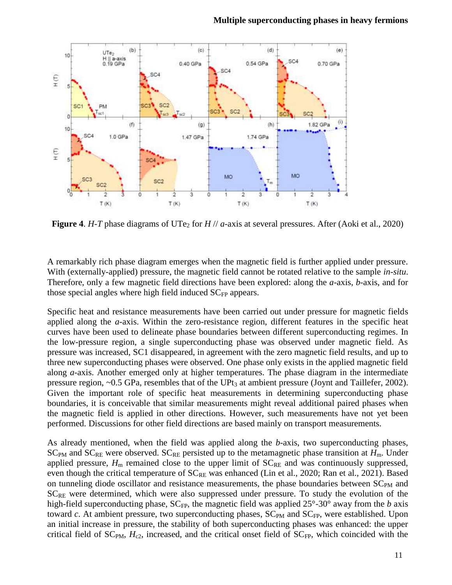

**Figure 4.** *H*-*T* phase diagrams of UTe<sub>2</sub> for *H* // *a*-axis at several pressures. After (Aoki et al., 2020)

A remarkably rich phase diagram emerges when the magnetic field is further applied under pressure. With (externally-applied) pressure, the magnetic field cannot be rotated relative to the sample *in-situ*. Therefore, only a few magnetic field directions have been explored: along the *a*-axis, *b*-axis, and for those special angles where high field induced  $SC<sub>FP</sub>$  appears.

Specific heat and resistance measurements have been carried out under pressure for magnetic fields applied along the *a*-axis. Within the zero-resistance region, different features in the specific heat curves have been used to delineate phase boundaries between different superconducting regimes. In the low-pressure region, a single superconducting phase was observed under magnetic field. As pressure was increased, SC1 disappeared, in agreement with the zero magnetic field results, and up to three new superconducting phases were observed. One phase only exists in the applied magnetic field along *a*-axis. Another emerged only at higher temperatures. The phase diagram in the intermediate pressure region,  $\sim 0.5$  GPa, resembles that of the UPt<sub>3</sub> at ambient pressure (Joynt and Taillefer, 2002). Given the important role of specific heat measurements in determining superconducting phase boundaries, it is conceivable that similar measurements might reveal additional paired phases when the magnetic field is applied in other directions. However, such measurements have not yet been performed. Discussions for other field directions are based mainly on transport measurements.

As already mentioned, when the field was applied along the *b*-axis, two superconducting phases,  $SC_{PM}$  and  $SC_{RE}$  were observed.  $SC_{RE}$  persisted up to the metamagnetic phase transition at  $H_m$ . Under applied pressure,  $H_m$  remained close to the upper limit of  $SC_{RE}$  and was continuously suppressed, even though the critical temperature of  $SC_{RE}$  was enhanced (Lin et al., 2020; Ran et al., 2021). Based on tunneling diode oscillator and resistance measurements, the phase boundaries between  $SC_{PM}$  and  $SC_{RE}$  were determined, which were also suppressed under pressure. To study the evolution of the high-field superconducting phase,  $SC_{FP}$ , the magnetic field was applied  $25^{\circ}$ -30° away from the *b* axis toward  $c$ . At ambient pressure, two superconducting phases,  $SC_{PM}$  and  $SC_{FP}$ , were established. Upon an initial increase in pressure, the stability of both superconducting phases was enhanced: the upper critical field of  $SC_{PM}$ ,  $H_{c2}$ , increased, and the critical onset field of  $SC_{FP}$ , which coincided with the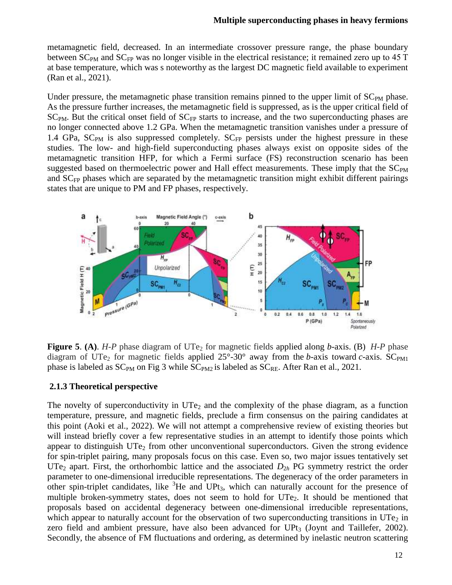metamagnetic field, decreased. In an intermediate crossover pressure range, the phase boundary between SC<sub>PM</sub> and SC<sub>FP</sub> was no longer visible in the electrical resistance; it remained zero up to 45 T at base temperature, which was s noteworthy as the largest DC magnetic field available to experiment (Ran et al., 2021).

Under pressure, the metamagnetic phase transition remains pinned to the upper limit of  $SC<sub>PM</sub>$  phase. As the pressure further increases, the metamagnetic field is suppressed, as is the upper critical field of  $SC_{PM}$ . But the critical onset field of  $SC_{FP}$  starts to increase, and the two superconducting phases are no longer connected above 1.2 GPa. When the metamagnetic transition vanishes under a pressure of 1.4 GPa,  $SC_{PM}$  is also suppressed completely.  $SC_{FP}$  persists under the highest pressure in these studies. The low- and high-field superconducting phases always exist on opposite sides of the metamagnetic transition HFP, for which a Fermi surface (FS) reconstruction scenario has been suggested based on thermoelectric power and Hall effect measurements. These imply that the  $SC<sub>PM</sub>$ and  $SC<sub>FP</sub>$  phases which are separated by the metamagnetic transition might exhibit different pairings states that are unique to PM and FP phases, respectively.



**Figure 5. (A).** *H-P* phase diagram of UTe<sub>2</sub> for magnetic fields applied along *b*-axis. (B) *H-P* phase diagram of UTe<sub>2</sub> for magnetic fields applied  $25^{\circ}$ -30° away from the *b*-axis toward *c*-axis. SC<sub>PM1</sub> phase is labeled as  $SC_{PM}$  on Fig 3 while  $SC_{PM2}$  is labeled as  $SC_{RE}$ . After Ran et al., 2021.

#### **2.1.3 Theoretical perspective**

The novelty of superconductivity in  $UTe<sub>2</sub>$  and the complexity of the phase diagram, as a function temperature, pressure, and magnetic fields, preclude a firm consensus on the pairing candidates at this point (Aoki et al., 2022). We will not attempt a comprehensive review of existing theories but will instead briefly cover a few representative studies in an attempt to identify those points which appear to distinguish  $\text{UTe}_2$  from other unconventional superconductors. Given the strong evidence for spin-triplet pairing, many proposals focus on this case. Even so, two major issues tentatively set UTe<sub>2</sub> apart. First, the orthorhombic lattice and the associated  $D_{2h}$  PG symmetry restrict the order parameter to one-dimensional irreducible representations. The degeneracy of the order parameters in other spin-triplet candidates, like  ${}^{3}$ He and UPt<sub>3</sub>, which can naturally account for the presence of multiple broken-symmetry states, does not seem to hold for  $UTe<sub>2</sub>$ . It should be mentioned that proposals based on accidental degeneracy between one-dimensional irreducible representations, which appear to naturally account for the observation of two superconducting transitions in  $\text{UTe}_2$  in zero field and ambient pressure, have also been advanced for  $UPt<sub>3</sub>$  (Joynt and Taillefer, 2002). Secondly, the absence of FM fluctuations and ordering, as determined by inelastic neutron scattering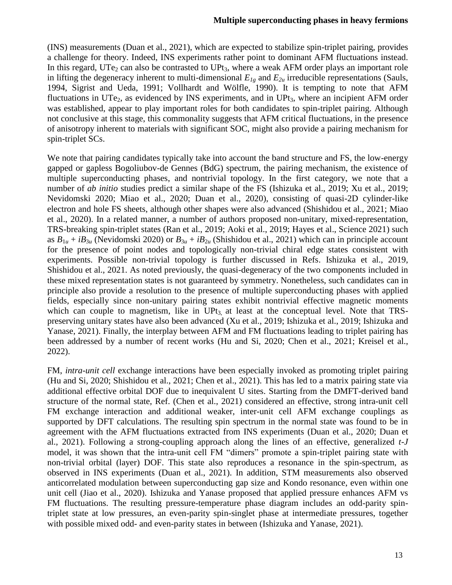(INS) measurements (Duan et al., 2021), which are expected to stabilize spin-triplet pairing, provides a challenge for theory. Indeed, INS experiments rather point to dominant AFM fluctuations instead. In this regard,  $UTe_2$  can also be contrasted to  $UPt_3$ , where a weak AFM order plays an important role in lifting the degeneracy inherent to multi-dimensional  $E_{1g}$  and  $E_{2u}$  irreducible representations (Sauls, 1994, Sigrist and Ueda, 1991; Vollhardt and Wölfle, 1990). It is tempting to note that AFM fluctuations in UTe<sub>2</sub>, as evidenced by INS experiments, and in UPt<sub>3</sub>, where an incipient AFM order was established, appear to play important roles for both candidates to spin-triplet pairing. Although not conclusive at this stage, this commonality suggests that AFM critical fluctuations, in the presence of anisotropy inherent to materials with significant SOC, might also provide a pairing mechanism for spin-triplet SCs.

We note that pairing candidates typically take into account the band structure and FS, the low-energy gapped or gapless Bogoliubov-de Gennes (BdG) spectrum, the pairing mechanism, the existence of multiple superconducting phases, and nontrivial topology. In the first category, we note that a number of *ab initio* studies predict a similar shape of the FS (Ishizuka et al., 2019; Xu et al., 2019; Nevidomski 2020; Miao et al., 2020; Duan et al., 2020), consisting of quasi-2D cylinder-like electron and hole FS sheets, although other shapes were also advanced (Shishidou et al., 2021; Miao et al., 2020). In a related manner, a number of authors proposed non-unitary, mixed-representation, TRS-breaking spin-triplet states (Ran et al., 2019; Aoki et al., 2019; Hayes et al., Science 2021) such as  $B_{1u} + iB_{3u}$  (Nevidomski 2020) or  $B_{3u} + iB_{2u}$  (Shishidou et al., 2021) which can in principle account for the presence of point nodes and topologically non-trivial chiral edge states consistent with experiments. Possible non-trivial topology is further discussed in Refs. Ishizuka et al., 2019, Shishidou et al., 2021. As noted previously, the quasi-degeneracy of the two components included in these mixed representation states is not guaranteed by symmetry. Nonetheless, such candidates can in principle also provide a resolution to the presence of multiple superconducting phases with applied fields, especially since non-unitary pairing states exhibit nontrivial effective magnetic moments which can couple to magnetism, like in  $UPt<sub>3</sub>$  at least at the conceptual level. Note that TRSpreserving unitary states have also been advanced (Xu et al., 2019; Ishizuka et al., 2019; Ishizuka and Yanase, 2021). Finally, the interplay between AFM and FM fluctuations leading to triplet pairing has been addressed by a number of recent works (Hu and Si, 2020; Chen et al., 2021; Kreisel et al., 2022).

FM, *intra-unit cell* exchange interactions have been especially invoked as promoting triplet pairing (Hu and Si, 2020; Shishidou et al., 2021; Chen et al., 2021). This has led to a matrix pairing state via additional effective orbital DOF due to inequivalent U sites. Starting from the DMFT-derived band structure of the normal state, Ref. (Chen et al., 2021) considered an effective, strong intra-unit cell FM exchange interaction and additional weaker, inter-unit cell AFM exchange couplings as supported by DFT calculations. The resulting spin spectrum in the normal state was found to be in agreement with the AFM fluctuations extracted from INS experiments (Duan et al., 2020; Duan et al., 2021). Following a strong-coupling approach along the lines of an effective, generalized *t-J* model, it was shown that the intra-unit cell FM "dimers" promote a spin-triplet pairing state with non-trivial orbital (layer) DOF. This state also reproduces a resonance in the spin-spectrum, as observed in INS experiments (Duan et al., 2021). In addition, STM measurements also observed anticorrelated modulation between superconducting gap size and Kondo resonance, even within one unit cell (Jiao et al., 2020). Ishizuka and Yanase proposed that applied pressure enhances AFM vs FM fluctuations. The resulting pressure-temperature phase diagram includes an odd-parity spintriplet state at low pressures, an even-parity spin-singlet phase at intermediate pressures, together with possible mixed odd- and even-parity states in between (Ishizuka and Yanase, 2021).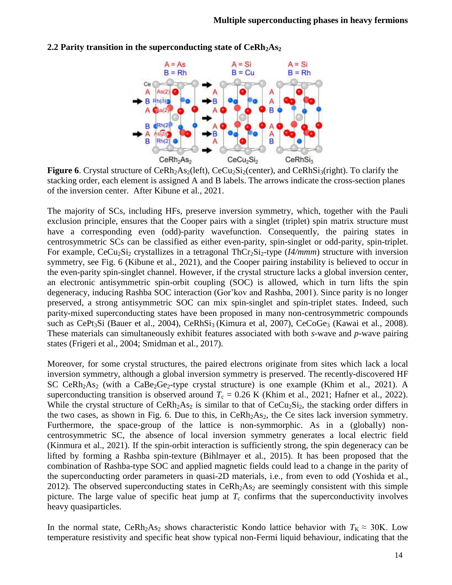

#### **2.2 Parity transition in the superconducting state of CeRh2As<sup>2</sup>**

**Figure 6**. Crystal structure of  $Cekh<sub>2</sub>As<sub>2</sub>(left)$ ,  $CeCu<sub>2</sub>Si<sub>2</sub>(center)$ , and  $CekhSi<sub>3</sub>(right)$ . To clarify the stacking order, each element is assigned A and B labels. The arrows indicate the cross-section planes of the inversion center. After Kibune et al., 2021.

The majority of SCs, including HFs, preserve inversion symmetry, which, together with the Pauli exclusion principle, ensures that the Cooper pairs with a singlet (triplet) spin matrix structure must have a corresponding even (odd)-parity wavefunction. Consequently, the pairing states in centrosymmetric SCs can be classified as either even-parity, spin-singlet or odd-parity, spin-triplet. For example, CeCu<sub>2</sub>Si<sub>2</sub> crystallizes in a tetragonal ThCr<sub>2</sub>Si<sub>2</sub>-type (*I4/mmm*) structure with inversion symmetry, see Fig. 6 (Kibune et al., 2021), and the Cooper pairing instability is believed to occur in the even-parity spin-singlet channel. However, if the crystal structure lacks a global inversion center, an electronic antisymmetric spin-orbit coupling (SOC) is allowed, which in turn lifts the spin degeneracy, inducing Rashba SOC interaction (Gor'kov and Rashba, 2001). Since parity is no longer preserved, a strong antisymmetric SOC can mix spin-singlet and spin-triplet states. Indeed, such parity-mixed superconducting states have been proposed in many non-centrosymmetric compounds such as CePt<sub>3</sub>Si (Bauer et al., 2004), CeRhSi<sub>3</sub> (Kimura et al, 2007), CeCoGe<sub>3</sub> (Kawai et al., 2008). These materials can simultaneously exhibit features associated with both *s*-wave and *p*-wave pairing states (Frigeri et al., 2004; Smidman et al., 2017).

Moreover, for some crystal structures, the paired electrons originate from sites which lack a local inversion symmetry, although a global inversion symmetry is preserved. The recently-discovered HF SC CeRh<sub>2</sub>As<sub>2</sub> (with a CaBe<sub>2</sub>Ge<sub>2</sub>-type crystal structure) is one example (Khim et al., 2021). A superconducting transition is observed around  $T_c = 0.26$  K (Khim et al., 2021; Hafner et al., 2022). While the crystal structure of  $CeRh<sub>2</sub>As<sub>2</sub>$  is similar to that of  $CeCu<sub>2</sub>Si<sub>2</sub>$ , the stacking order differs in the two cases, as shown in Fig. 6. Due to this, in  $Cerh<sub>2</sub>As<sub>2</sub>$ , the Ce sites lack inversion symmetry. Furthermore, the space-group of the lattice is non-symmorphic. As in a (globally) noncentrosymmetric SC, the absence of local inversion symmetry generates a local electric field (Kinmura et al., 2021). If the spin-orbit interaction is sufficiently strong, the spin degeneracy can be lifted by forming a Rashba spin-texture (Bihlmayer et al., 2015). It has been proposed that the combination of Rashba-type SOC and applied magnetic fields could lead to a change in the parity of the superconducting order parameters in quasi-2D materials, i.e., from even to odd (Yoshida et al., 2012). The observed superconducting states in  $CerRh<sub>2</sub>As<sub>2</sub>$  are seemingly consistent with this simple picture. The large value of specific heat jump at  $T_c$  confirms that the superconductivity involves heavy quasiparticles.

In the normal state, CeRh<sub>2</sub>As<sub>2</sub> shows characteristic Kondo lattice behavior with  $T_K \approx 30$ K. Low temperature resistivity and specific heat show typical non-Fermi liquid behaviour, indicating that the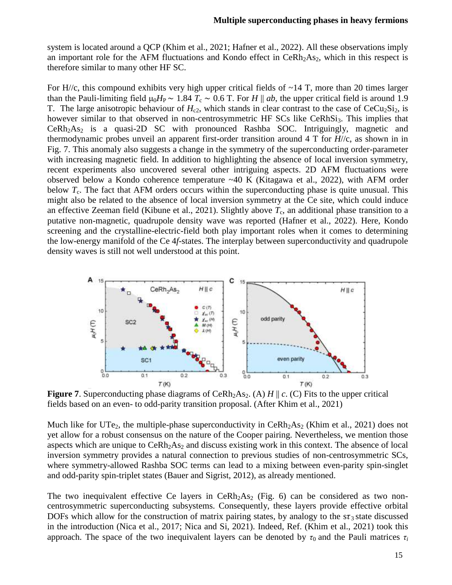system is located around a QCP (Khim et al., 2021; Hafner et al., 2022). All these observations imply an important role for the AFM fluctuations and Kondo effect in  $Cerh<sub>2</sub>As<sub>2</sub>$ , which in this respect is therefore similar to many other HF SC.

For  $H/\langle c$ , this compound exhibits very high upper critical fields of  $\sim$  14 T, more than 20 times larger than the Pauli-limiting field  $\mu_0 H_P \sim 1.84 T_c \sim 0.6 T$ . For *H* || *ab*, the upper critical field is around 1.9 T. The large anisotropic behaviour of  $H_{c2}$ , which stands in clear contrast to the case of  $CeCu<sub>2</sub>Si<sub>2</sub>$ , is however similar to that observed in non-centrosymmetric HF SCs like CeRhSi<sub>3</sub>. This implies that  $Cerh<sub>2</sub>A<sub>52</sub>$  is a quasi-2D SC with pronounced Rashba SOC. Intriguingly, magnetic and thermodynamic probes unveil an apparent first-order transition around 4 T for *H*//c, as shown in in Fig. 7. This anomaly also suggests a change in the symmetry of the superconducting order-parameter with increasing magnetic field. In addition to highlighting the absence of local inversion symmetry, recent experiments also uncovered several other intriguing aspects. 2D AFM fluctuations were observed below a Kondo coherence temperature  $~40$  K (Kitagawa et al., 2022), with AFM order below *T<sub>c</sub>*. The fact that AFM orders occurs within the superconducting phase is quite unusual. This might also be related to the absence of local inversion symmetry at the Ce site, which could induce an effective Zeeman field (Kibune et al., 2021). Slightly above  $T_c$ , an additional phase transition to a putative non-magnetic, quadrupole density wave was reported (Hafner et al., 2022). Here, Kondo screening and the crystalline-electric-field both play important roles when it comes to determining the low-energy manifold of the Ce 4*f*-states. The interplay between superconductivity and quadrupole density waves is still not well understood at this point.



**Figure 7.** Superconducting phase diagrams of CeRh<sub>2</sub>As<sub>2</sub>. (A) *H* || *c*. (C) Fits to the upper critical fields based on an even- to odd-parity transition proposal. (After Khim et al., 2021)

Much like for UTe<sub>2</sub>, the multiple-phase superconductivity in  $CeRh<sub>2</sub>As<sub>2</sub>$  (Khim et al., 2021) does not yet allow for a robust consensus on the nature of the Cooper pairing. Nevertheless, we mention those aspects which are unique to  $Cerh<sub>2</sub>As<sub>2</sub>$  and discuss existing work in this context. The absence of local inversion symmetry provides a natural connection to previous studies of non-centrosymmetric SCs, where symmetry-allowed Rashba SOC terms can lead to a mixing between even-parity spin-singlet and odd-parity spin-triplet states (Bauer and Sigrist, 2012), as already mentioned.

The two inequivalent effective Ce layers in CeRh<sub>2</sub>As<sub>2</sub> (Fig. 6) can be considered as two noncentrosymmetric superconducting subsystems. Consequently, these layers provide effective orbital DOFs which allow for the construction of matrix pairing states, by analogy to the  $s\tau_3$  state discussed in the introduction (Nica et al., 2017; Nica and Si, 2021). Indeed, Ref. (Khim et al., 2021) took this approach. The space of the two inequivalent layers can be denoted by  $\tau_0$  and the Pauli matrices  $\tau_i$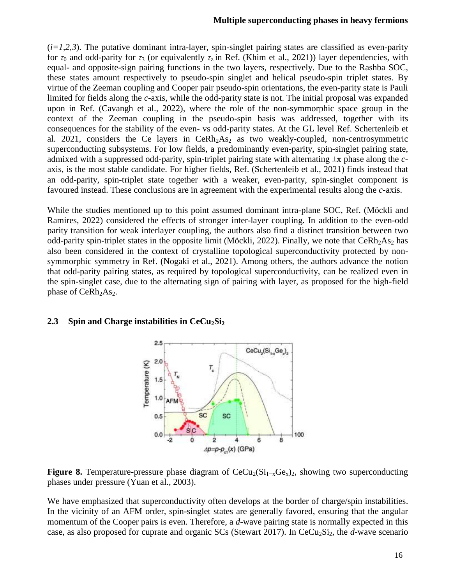#### **Multiple superconducting phases in heavy fermions**

 $(i=1,2,3)$ . The putative dominant intra-layer, spin-singlet pairing states are classified as even-parity for  $\tau_0$  and odd-parity for  $\tau_3$  (or equivalently  $\tau_z$  in Ref. (Khim et al., 2021)) layer dependencies, with equal- and opposite-sign pairing functions in the two layers, respectively. Due to the Rashba SOC, these states amount respectively to pseudo-spin singlet and helical pseudo-spin triplet states. By virtue of the Zeeman coupling and Cooper pair pseudo-spin orientations, the even-parity state is Pauli limited for fields along the *c*-axis, while the odd-parity state is not. The initial proposal was expanded upon in Ref. (Cavangh et al., 2022), where the role of the non-symmorphic space group in the context of the Zeeman coupling in the pseudo-spin basis was addressed, together with its consequences for the stability of the even- vs odd-parity states. At the GL level Ref. Schertenleib et al. 2021, considers the Ce layers in CeRh $_2$ As<sub>2</sub> as two weakly-coupled, non-centrosymmetric superconducting subsystems. For low fields, a predominantly even-parity, spin-singlet pairing state, admixed with a suppressed odd-parity, spin-triplet pairing state with alternating ±π phase along the *c*axis, is the most stable candidate. For higher fields, Ref. (Schertenleib et al., 2021) finds instead that an odd-parity, spin-triplet state together with a weaker, even-parity, spin-singlet component is favoured instead. These conclusions are in agreement with the experimental results along the *c*-axis.

While the studies mentioned up to this point assumed dominant intra-plane SOC, Ref. (Möckli and Ramires, 2022) considered the effects of stronger inter-layer coupling. In addition to the even-odd parity transition for weak interlayer coupling, the authors also find a distinct transition between two odd-parity spin-triplet states in the opposite limit (Möckli, 2022). Finally, we note that CeRh<sub>2</sub>As<sub>2</sub> has also been considered in the context of crystalline topological superconductivity protected by nonsymmorphic symmetry in Ref. (Nogaki et al., 2021). Among others, the authors advance the notion that odd-parity pairing states, as required by topological superconductivity, can be realized even in the spin-singlet case, due to the alternating sign of pairing with layer, as proposed for the high-field phase of CeRh<sub>2</sub>As<sub>2</sub>.

#### **2.3 Spin and Charge instabilities in CeCu2Si<sup>2</sup>**



**Figure 8.** Temperature-pressure phase diagram of  $CeCu_2(Si_{1-x}Ge_x)_2$ , showing two superconducting phases under pressure (Yuan et al., 2003).

We have emphasized that superconductivity often develops at the border of charge/spin instabilities. In the vicinity of an AFM order, spin-singlet states are generally favored, ensuring that the angular momentum of the Cooper pairs is even. Therefore, a *d*-wave pairing state is normally expected in this case, as also proposed for cuprate and organic SCs (Stewart 2017). In CeCu<sub>2</sub>Si<sub>2</sub>, the *d*-wave scenario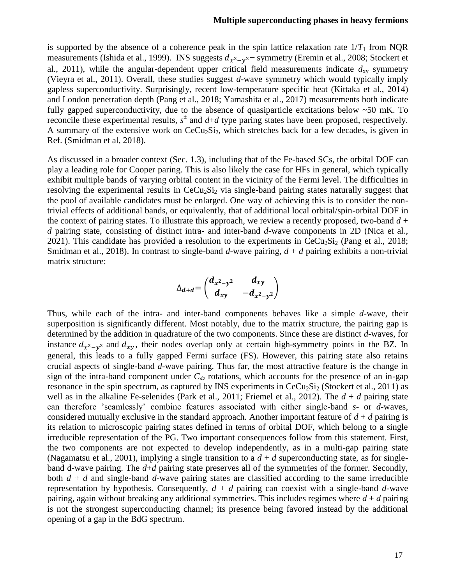#### **Multiple superconducting phases in heavy fermions**

is supported by the absence of a coherence peak in the spin lattice relaxation rate  $1/T_1$  from NQR measurements (Ishida et al., 1999). INS suggests  $d_{x^2-y^2}$  symmetry (Eremin et al., 2008; Stockert et al., 2011), while the angular-dependent upper critical field measurements indicate  $d_{xy}$  symmetry (Vieyra et al., 2011). Overall, these studies suggest *d*-wave symmetry which would typically imply gapless superconductivity. Surprisingly, recent low-temperature specific heat (Kittaka et al., 2014) and London penetration depth (Pang et al., 2018; Yamashita et al., 2017) measurements both indicate fully gapped superconductivity, due to the absence of quasiparticle excitations below ~50 mK. To reconcile these experimental results,  $s^{\pm}$  and  $d+d$  type paring states have been proposed, respectively. A summary of the extensive work on  $CeCu<sub>2</sub>Si<sub>2</sub>$ , which stretches back for a few decades, is given in Ref. (Smidman et al, 2018).

As discussed in a broader context (Sec. 1.3), including that of the Fe-based SCs, the orbital DOF can play a leading role for Cooper paring. This is also likely the case for HFs in general, which typically exhibit multiple bands of varying orbital content in the vicinity of the Fermi level. The difficulties in resolving the experimental results in  $CeCu<sub>2</sub>Si<sub>2</sub>$  via single-band pairing states naturally suggest that the pool of available candidates must be enlarged. One way of achieving this is to consider the nontrivial effects of additional bands, or equivalently, that of additional local orbital/spin-orbital DOF in the context of pairing states. To illustrate this approach, we review a recently proposed, two-band  $d +$ *d* pairing state, consisting of distinct intra- and inter-band *d*-wave components in 2D (Nica et al., 2021). This candidate has provided a resolution to the experiments in  $CeCu<sub>2</sub>Si<sub>2</sub>$  (Pang et al., 2018; Smidman et al., 2018). In contrast to single-band *d*-wave pairing, *d* + *d* pairing exhibits a non-trivial matrix structure:

$$
\Delta_{d+d} = \begin{pmatrix} d_{x^2-y^2} & d_{xy} \\ d_{xy} & -d_{x^2-y^2} \end{pmatrix}
$$

Thus, while each of the intra- and inter-band components behaves like a simple *d*-wave, their superposition is significantly different. Most notably, due to the matrix structure, the pairing gap is determined by the addition in quadrature of the two components. Since these are distinct *d*-waves, for instance  $d_{x^2-y^2}$  and  $d_{xy}$ , their nodes overlap only at certain high-symmetry points in the BZ. In general, this leads to a fully gapped Fermi surface (FS). However, this pairing state also retains crucial aspects of single-band *d*-wave pairing. Thus far, the most attractive feature is the change in sign of the intra-band component under  $C_{4z}$  rotations, which accounts for the presence of an in-gap resonance in the spin spectrum, as captured by INS experiments in  $CeCu<sub>2</sub>Si<sub>2</sub>$  (Stockert et al., 2011) as well as in the alkaline Fe-selenides (Park et al., 2011; Friemel et al., 2012). The  $d + d$  pairing state can therefore 'seamlessly' combine features associated with either single-band *s*- or *d*-waves, considered mutually exclusive in the standard approach. Another important feature of  $d + d$  pairing is its relation to microscopic pairing states defined in terms of orbital DOF, which belong to a single irreducible representation of the PG. Two important consequences follow from this statement. First, the two components are not expected to develop independently, as in a multi-gap pairing state (Nagamatsu et al., 2001), implying a single transition to a  $d + d$  superconducting state, as for singleband d-wave pairing. The *d*+*d* pairing state preserves all of the symmetries of the former. Secondly, both  $d + d$  and single-band  $d$ -wave pairing states are classified according to the same irreducible representation by hypothesis. Consequently,  $d + d$  pairing can coexist with a single-band  $d$ -wave pairing, again without breaking any additional symmetries. This includes regimes where  $d + d$  pairing is not the strongest superconducting channel; its presence being favored instead by the additional opening of a gap in the BdG spectrum.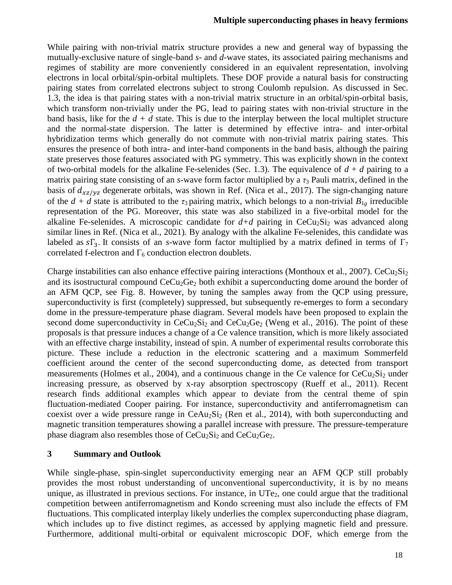While pairing with non-trivial matrix structure provides a new and general way of bypassing the mutually-exclusive nature of single-band *s*- and *d*-wave states, its associated pairing mechanisms and regimes of stability are more conveniently considered in an equivalent representation, involving electrons in local orbital/spin-orbital multiplets. These DOF provide a natural basis for constructing pairing states from correlated electrons subject to strong Coulomb repulsion. As discussed in Sec. 1.3, the idea is that pairing states with a non-trivial matrix structure in an orbital/spin-orbital basis, which transform non-trivially under the PG, lead to pairing states with non-trivial structure in the band basis, like for the *d + d* state. This is due to the interplay between the local multiplet structure and the normal-state dispersion. The latter is determined by effective intra- and inter-orbital hybridization terms which generally do not commute with non-trivial matrix pairing states. This ensures the presence of both intra- and inter-band components in the band basis, although the pairing state preserves those features associated with PG symmetry. This was explicitly shown in the context of two-orbital models for the alkaline Fe-selenides (Sec. 1.3). The equivalence of  $d + d$  pairing to a matrix pairing state consisting of an *s*-wave form factor multiplied by a  $\tau_3$  Pauli matrix, defined in the basis of  $d_{xz/yz}$  degenerate orbitals, was shown in Ref. (Nica et al., 2017). The sign-changing nature of the  $d + d$  state is attributed to the  $\tau_3$  pairing matrix, which belongs to a non-trivial  $B_{1g}$  irreducible representation of the PG. Moreover, this state was also stabilized in a five-orbital model for the alkaline Fe-selenides. A microscopic candidate for  $d+d$  pairing in CeCu<sub>2</sub>Si<sub>2</sub> was advanced along similar lines in Ref. (Nica et al., 2021). By analogy with the alkaline Fe-selenides, this candidate was labeled as  $s\Gamma_3$ . It consists of an *s*-wave form factor multiplied by a matrix defined in terms of  $\Gamma_7$ correlated f-electron and  $\Gamma_6$  conduction electron doublets.

Charge instabilities can also enhance effective pairing interactions (Monthoux et al., 2007). CeCu<sub>2</sub>Si<sub>2</sub> and its isostructural compound  $CeCu<sub>2</sub>Ge<sub>2</sub>$  both exhibit a superconducting dome around the border of an AFM QCP, see Fig. 8. However, by tuning the samples away from the QCP using pressure, superconductivity is first (completely) suppressed, but subsequently re-emerges to form a secondary dome in the pressure-temperature phase diagram. Several models have been proposed to explain the second dome superconductivity in  $CeCu<sub>2</sub>Si<sub>2</sub>$  and  $CeCu<sub>2</sub>Ge<sub>2</sub>$  (Weng et al., 2016). The point of these proposals is that pressure induces a change of a Ce valence transition, which is more likely associated with an effective charge instability, instead of spin. A number of experimental results corroborate this picture. These include a reduction in the electronic scattering and a maximum Sommerfeld coefficient around the center of the second superconducting dome, as detected from transport measurements (Holmes et al., 2004), and a continuous change in the Ce valence for  $CeCu<sub>2</sub>Si<sub>2</sub>$  under increasing pressure, as observed by x-ray absorption spectroscopy (Rueff et al., 2011). Recent research finds additional examples which appear to deviate from the central theme of spin fluctuation-mediated Cooper pairing. For instance, superconductivity and antiferromagnetism can coexist over a wide pressure range in  $CeAu<sub>2</sub>Si<sub>2</sub>$  (Ren et al., 2014), with both superconducting and magnetic transition temperatures showing a parallel increase with pressure. The pressure-temperature phase diagram also resembles those of  $CeCu<sub>2</sub>Si<sub>2</sub>$  and  $CeCu<sub>2</sub>Ge<sub>2</sub>$ .

#### **3 Summary and Outlook**

While single-phase, spin-singlet superconductivity emerging near an AFM QCP still probably provides the most robust understanding of unconventional superconductivity, it is by no means unique, as illustrated in previous sections. For instance, in  $UTe<sub>2</sub>$ , one could argue that the traditional competition between antiferromagnetism and Kondo screening must also include the effects of FM fluctuations. This complicated interplay likely underlies the complex superconducting phase diagram, which includes up to five distinct regimes, as accessed by applying magnetic field and pressure. Furthermore, additional multi-orbital or equivalent microscopic DOF, which emerge from the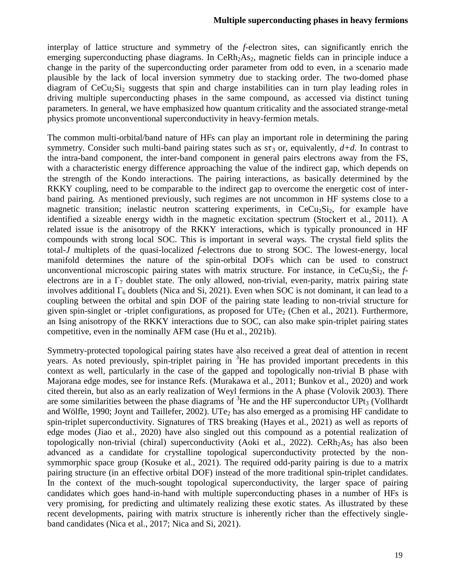interplay of lattice structure and symmetry of the *f*-electron sites, can significantly enrich the emerging superconducting phase diagrams. In  $CerRh<sub>2</sub>As<sub>2</sub>$ , magnetic fields can in principle induce a change in the parity of the superconducting order parameter from odd to even, in a scenario made plausible by the lack of local inversion symmetry due to stacking order. The two-domed phase diagram of  $CeCu<sub>2</sub>Si<sub>2</sub>$  suggests that spin and charge instabilities can in turn play leading roles in driving multiple superconducting phases in the same compound, as accessed via distinct tuning parameters. In general, we have emphasized how quantum criticality and the associated strange-metal physics promote unconventional superconductivity in heavy-fermion metals.

The common multi-orbital/band nature of HFs can play an important role in determining the paring symmetry. Consider such multi-band pairing states such as  $s\tau_3$  or, equivalently,  $d+d$ . In contrast to the intra-band component, the inter-band component in general pairs electrons away from the FS, with a characteristic energy difference approaching the value of the indirect gap, which depends on the strength of the Kondo interactions. The pairing interactions, as basically determined by the RKKY coupling, need to be comparable to the indirect gap to overcome the energetic cost of interband pairing. As mentioned previously, such regimes are not uncommon in HF systems close to a magnetic transition; inelastic neutron scattering experiments, in  $CeCu<sub>2</sub>Si<sub>2</sub>$ , for example have identified a sizeable energy width in the magnetic excitation spectrum (Stockert et al., 2011). A related issue is the anisotropy of the RKKY interactions, which is typically pronounced in HF compounds with strong local SOC. This is important in several ways. The crystal field splits the total-*J* multiplets of the quasi-localized *f*-electrons due to strong SOC. The lowest-energy, local manifold determines the nature of the spin-orbital DOFs which can be used to construct unconventional microscopic pairing states with matrix structure. For instance, in  $CeCu<sub>2</sub>Si<sub>2</sub>$ , the  $f<sub>1</sub>$ electrons are in a  $\Gamma_7$  doublet state. The only allowed, non-trivial, even-parity, matrix pairing state involves additional  $\Gamma_6$  doublets (Nica and Si, 2021). Even when SOC is not dominant, it can lead to a coupling between the orbital and spin DOF of the pairing state leading to non-trivial structure for given spin-singlet or -triplet configurations, as proposed for  $UTe<sub>2</sub>$  (Chen et al., 2021). Furthermore, an Ising anisotropy of the RKKY interactions due to SOC, can also make spin-triplet pairing states competitive, even in the nominally AFM case (Hu et al., 2021b).

Symmetry-protected topological pairing states have also received a great deal of attention in recent years. As noted previously, spin-triplet pairing in  ${}^{3}$ He has provided important precedents in this context as well, particularly in the case of the gapped and topologically non-trivial B phase with Majorana edge modes, see for instance Refs. (Murakawa et al., 2011; Bunkov et al., 2020) and work cited therein, but also as an early realization of Weyl fermions in the A phase (Volovik 2003). There are some similarities between the phase diagrams of  ${}^{3}$ He and the HF superconductor UPt<sub>3</sub> (Vollhardt and Wölfle, 1990; Joynt and Taillefer, 2002). UTe<sub>2</sub> has also emerged as a promising HF candidate to spin-triplet superconductivity. Signatures of TRS breaking (Hayes et al., 2021) as well as reports of edge modes (Jiao et al., 2020) have also singled out this compound as a potential realization of topologically non-trivial (chiral) superconductivity (Aoki et al., 2022). CeRh<sub>2</sub>As<sub>2</sub> has also been advanced as a candidate for crystalline topological superconductivity protected by the nonsymmorphic space group (Kosuke et al., 2021). The required odd-parity pairing is due to a matrix pairing structure (in an effective orbital DOF) instead of the more traditional spin-triplet candidates. In the context of the much-sought topological superconductivity, the larger space of pairing candidates which goes hand-in-hand with multiple superconducting phases in a number of HFs is very promising, for predicting and ultimately realizing these exotic states. As illustrated by these recent developments, pairing with matrix structure is inherently richer than the effectively singleband candidates (Nica et al., 2017; Nica and Si, 2021).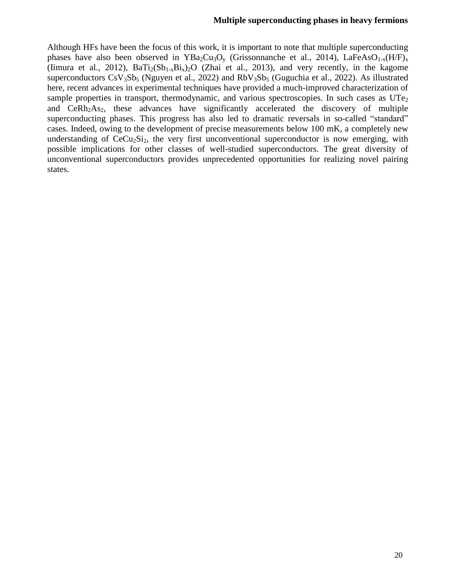#### **Multiple superconducting phases in heavy fermions**

Although HFs have been the focus of this work, it is important to note that multiple superconducting phases have also been observed in  $YBa_2Cu_3O_y$  (Grissonnanche et al., 2014), LaFeAsO<sub>1-x</sub>(H/F)<sub>x</sub> (Iimura et al., 2012),  $BaTi(5b_{1-x}Bi_x)_{2}O$  (Zhai et al., 2013), and very recently, in the kagome superconductors  $CsV<sub>3</sub>Sb<sub>5</sub>$  (Nguyen et al., 2022) and  $RbV<sub>3</sub>Sb<sub>5</sub>$  (Guguchia et al., 2022). As illustrated here, recent advances in experimental techniques have provided a much-improved characterization of sample properties in transport, thermodynamic, and various spectroscopies. In such cases as  $UTe<sub>2</sub>$ and CeRh<sub>2</sub>As<sub>2</sub>, these advances have significantly accelerated the discovery of multiple superconducting phases. This progress has also led to dramatic reversals in so-called "standard" cases. Indeed, owing to the development of precise measurements below 100 mK, a completely new understanding of  $CeCu<sub>2</sub>Si<sub>2</sub>$ , the very first unconventional superconductor is now emerging, with possible implications for other classes of well-studied superconductors. The great diversity of unconventional superconductors provides unprecedented opportunities for realizing novel pairing states.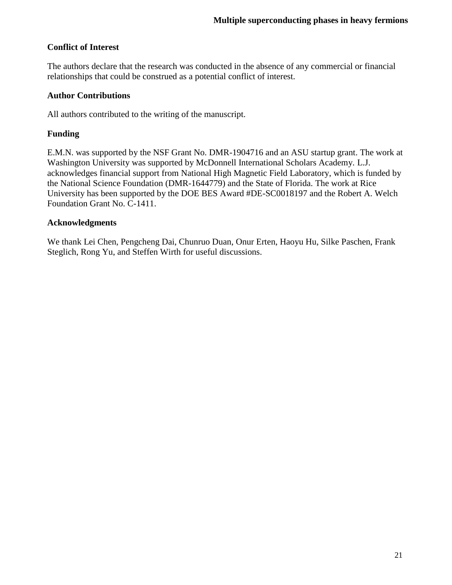## **Conflict of Interest**

The authors declare that the research was conducted in the absence of any commercial or financial relationships that could be construed as a potential conflict of interest.

### **Author Contributions**

All authors contributed to the writing of the manuscript.

## **Funding**

E.M.N. was supported by the NSF Grant No. DMR-1904716 and an ASU startup grant. The work at Washington University was supported by McDonnell International Scholars Academy. L.J. acknowledges financial support from National High Magnetic Field Laboratory, which is funded by the National Science Foundation (DMR-1644779) and the State of Florida. The work at Rice University has been supported by the DOE BES Award #DE-SC0018197 and the Robert A. Welch Foundation Grant No. C-1411.

#### **Acknowledgments**

We thank Lei Chen, Pengcheng Dai, Chunruo Duan, Onur Erten, Haoyu Hu, Silke Paschen, Frank Steglich, Rong Yu, and Steffen Wirth for useful discussions.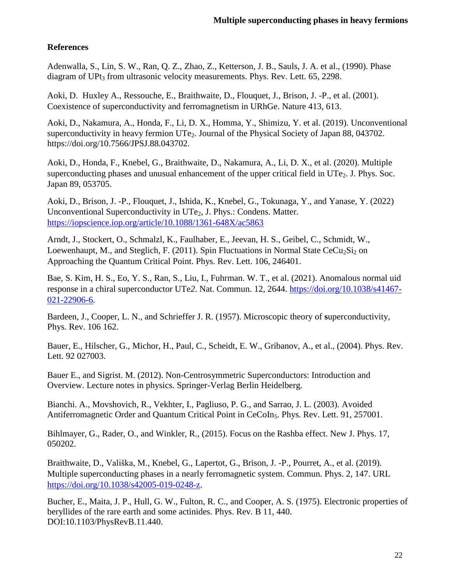## **References**

Adenwalla, S., Lin, S. W., Ran, Q. Z., Zhao, Z., Ketterson, J. B., Sauls, J. A. et al., (1990). Phase diagram of UPt<sub>3</sub> from ultrasonic velocity measurements. Phys. Rev. Lett.  $65$ , 2298.

Aoki, D. Huxley A., Ressouche, E., Braithwaite, D., Flouquet, J., Brison, J. -P., et al. (2001). Coexistence of superconductivity and ferromagnetism in URhGe. Nature 413, 613.

Aoki, D., Nakamura, A., Honda, F., Li, D. X., Homma, Y., Shimizu, Y. et al. (2019). Unconventional superconductivity in heavy fermion UTe<sub>2</sub>. Journal of the Physical Society of Japan 88, 043702. https://doi.org/10.7566/JPSJ.88.043702.

Aoki, D., Honda, F., Knebel, G., Braithwaite, D., Nakamura, A., Li, D. X., et al. (2020). Multiple superconducting phases and unusual enhancement of the upper critical field in  $UTe<sub>2</sub>$ . J. Phys. Soc. Japan 89, 053705.

Aoki, D., Brison, J. -P., Flouquet, J., Ishida, K., Knebel, G., Tokunaga, Y., and Yanase, Y. (2022) Unconventional Superconductivity in  $UTe<sub>2</sub>$ , J. Phys.: Condens. Matter. <https://iopscience.iop.org/article/10.1088/1361-648X/ac5863>

Arndt, J., Stockert, O., Schmalzl, K., Faulhaber, E., Jeevan, H. S., Geibel, C., Schmidt, W., Loewenhaupt, M., and Steglich, F. (2011). Spin Fluctuations in Normal State  $CeCu<sub>2</sub>Si<sub>2</sub>$  on Approaching the Quantum Critical Point. Phys. Rev. Lett. 106, 246401.

Bae, S. Kim, H. S., Eo, Y. S., Ran, S., Liu, I., Fuhrman. W. T., et al. (2021). Anomalous normal uid response in a chiral superconductor UTe*2*. Nat. Commun. 12, 2644. [https://doi.org/10.1038/s41467-](https://doi.org/10.1038/s41467-021-22906-6) [021-22906-6.](https://doi.org/10.1038/s41467-021-22906-6)

Bardeen, J., Cooper, L. N., and Schrieffer J. R. (1957). Microscopic theory of **s**uperconductivity, Phys. Rev. 106 162.

Bauer, E., Hilscher, G., Michor, H., Paul, C., Scheidt, E. W., Gribanov, A., et al., (2004). Phys. Rev. Lett. 92 027003.

Bauer E., and Sigrist. M. (2012). Non-Centrosymmetric Superconductors: Introduction and Overview. Lecture notes in physics. Springer-Verlag Berlin Heidelberg.

Bianchi. A., Movshovich, R., Vekhter, I., Pagliuso, P. G., and Sarrao, J. L. (2003). Avoided Antiferromagnetic Order and Quantum Critical Point in CeCoIn<sub>5</sub>. Phys. Rev. Lett. 91, 257001.

Bihlmayer, G., Rader, O., and Winkler, R., (2015). Focus on the Rashba effect. New J. Phys. 17, 050202.

Braithwaite, D., Vališka, M., Knebel, G., Lapertot, G., Brison, J. -P., Pourret, A., et al. (2019). Multiple superconducting phases in a nearly ferromagnetic system. Commun. Phys. 2, 147. URL [https://doi.org/10.1038/s42005-019-0248-z.](https://doi.org/10.1038/s42005-019-0248-z)

Bucher, E., Maita, J. P., Hull, G. W., Fulton, R. C., and Cooper, A. S. (1975). Electronic properties of beryllides of the rare earth and some actinides. Phys. Rev. B 11, 440. DOI:10.1103/PhysRevB.11.440.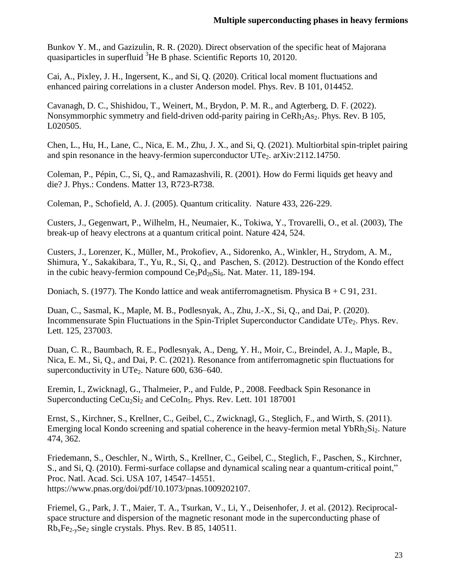Bunkov Y. M., and Gazizulin, R. R. (2020). Direct observation of the specific heat of Majorana quasiparticles in superfluid  ${}^{3}$ He B phase. Scientific Reports 10, 20120.

Cai, A., Pixley, J. H., Ingersent, K., and Si, Q. (2020). Critical local moment fluctuations and enhanced pairing correlations in a cluster Anderson model. Phys. Rev. B 101, 014452.

Cavanagh, D. C., Shishidou, T., Weinert, M., Brydon, P. M. R., and Agterberg, D. F. (2022). Nonsymmorphic symmetry and field-driven odd-parity pairing in CeRh<sub>2</sub>As<sub>2</sub>. Phys. Rev. B 105, L020505.

Chen, L., Hu, H., Lane, C., Nica, E. M., Zhu, J. X., and Si, Q. (2021). Multiorbital spin-triplet pairing and spin resonance in the heavy-fermion superconductor  $UTe<sub>2</sub>$ . arXiv:2112.14750.

Coleman, P., Pépin, C., Si, Q., and Ramazashvili, R. (2001). How do Fermi liquids get heavy and die? J. Phys.: Condens. Matter 13, R723-R738.

Coleman, P., Schofield, A. J. (2005). Quantum criticality. Nature 433, 226-229.

Custers, J., Gegenwart, P., Wilhelm, H., Neumaier, K., Tokiwa, Y., Trovarelli, O., et al. (2003), The break-up of heavy electrons at a quantum critical point. Nature 424, 524.

Custers, J., Lorenzer, K., Müller, M., Prokofiev, A., Sidorenko, A., Winkler, H., Strydom, A. M., Shimura, Y., Sakakibara, T., Yu, R., Si, Q., and Paschen, S. (2012). Destruction of the Kondo effect in the cubic heavy-fermion compound  $Ce<sub>3</sub>Pd<sub>20</sub>Si<sub>6</sub>$ . Nat. Mater. 11, 189-194.

Doniach, S. (1977). The Kondo lattice and weak antiferromagnetism. Physica  $B + C$  91, 231.

Duan, C., Sasmal, K., Maple, M. B., Podlesnyak, A., Zhu, J.-X., Si, Q., and Dai, P. (2020). Incommensurate Spin Fluctuations in the Spin-Triplet Superconductor Candidate UTe<sub>2</sub>. Phys. Rev. Lett. 125, 237003.

Duan, C. R., Baumbach, R. E., Podlesnyak, A., Deng, Y. H., Moir, C., Breindel, A. J., Maple, B., Nica, E. M., Si, Q., and Dai, P. C. (2021). Resonance from antiferromagnetic spin fluctuations for superconductivity in UTe<sub>2</sub>. Nature  $600$ ,  $636-640$ .

Eremin, I., Zwicknagl, G., Thalmeier, P., and Fulde, P., 2008. Feedback Spin Resonance in Superconducting  $CeCu<sub>2</sub>Si<sub>2</sub>$  and  $CeCoIn<sub>5</sub>$ . Phys. Rev. Lett. 101 187001

Ernst, S., Kirchner, S., Krellner, C., Geibel, C., Zwicknagl, G., Steglich, F., and Wirth, S. (2011). Emerging local Kondo screening and spatial coherence in the heavy-fermion metal  $YbRh_2Si_2$ . Nature 474, 362.

Friedemann, S., Oeschler, N., Wirth, S., Krellner, C., Geibel, C., Steglich, F., Paschen, S., Kirchner, S., and Si, Q. (2010). Fermi-surface collapse and dynamical scaling near a quantum-critical point," Proc. Natl. Acad. Sci. USA 107, 14547–14551. https://www.pnas.org/doi/pdf/10.1073/pnas.1009202107.

Friemel, G., Park, J. T., Maier, T. A., Tsurkan, V., Li, Y., Deisenhofer, J. et al. (2012). Reciprocalspace structure and dispersion of the magnetic resonant mode in the superconducting phase of  $Rb_xFe_{2-x}Se_2$  single crystals. Phys. Rev. B 85, 140511.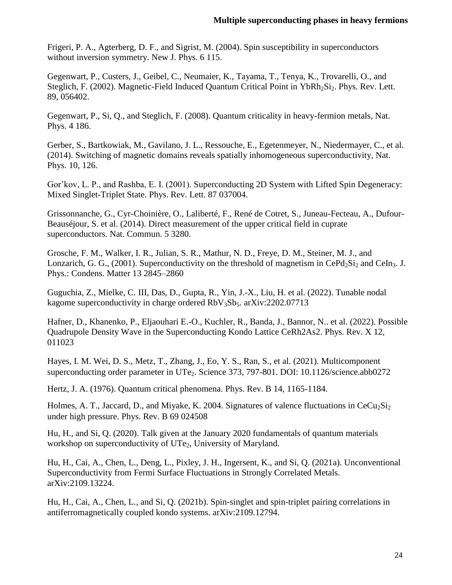Frigeri, P. A., Agterberg, D. F., and Sigrist, M. (2004). Spin susceptibility in superconductors without inversion symmetry. New J. Phys. 6 115.

Gegenwart, P., Custers, J., Geibel, C., Neumaier, K., Tayama, T., Tenya, K., Trovarelli, O., and Steglich, F. (2002). Magnetic-Field Induced Quantum Critical Point in YbRh<sub>2</sub>Si<sub>2</sub>. Phys. Rev. Lett. 89, 056402.

Gegenwart, P., Si, Q., and Steglich, F. (2008). Quantum criticality in heavy-fermion metals, Nat. Phys. 4 186.

Gerber, S., Bartkowiak, M., Gavilano, J. L., Ressouche, E., Egetenmeyer, N., Niedermayer, C., et al. (2014). Switching of magnetic domains reveals spatially inhomogeneous superconductivity, Nat. Phys. 10, 126.

Gor'kov, L. P., and Rashba, E. I. (2001). Superconducting 2D System with Lifted Spin Degeneracy: Mixed Singlet-Triplet State. Phys. Rev. Lett. 87 037004.

Grissonnanche, G., Cyr-Choinière, O., Laliberté, F., René de Cotret, S., Juneau-Fecteau, A., Dufour-Beauséjour, S. et al. (2014). Direct measurement of the upper critical field in cuprate superconductors. Nat. Commun. 5 3280.

Grosche, F. M., Walker, I. R., Julian, S. R., Mathur, N. D., Freye, D. M., Steiner, M. J., and Lonzarich, G. G., (2001). Superconductivity on the threshold of magnetism in  $CePd_2Si_2$  and  $Celn_3$ . J. Phys.: Condens. Matter 13 2845–2860

Guguchia, Z., Mielke, C. III, Das, D., Gupta, R., Yin, J.-X., Liu, H. et al. (2022). Tunable nodal kagome superconductivity in charge ordered  $RbV_3Sb_5$ . arXiv:2202.07713

Hafner, D., Khanenko, P., Eljaouhari E.-O., Kuchler, R., Banda, J., Bannor, N.. et al. (2022). Possible Quadrupole Density Wave in the Superconducting Kondo Lattice CeRh2As2. Phys. Rev. X 12, 011023

Hayes, I. M. Wei, D. S., Metz, T., Zhang, J., Eo, Y. S., Ran, S., et al. (2021). Multicomponent superconducting order parameter in UTe<sub>2</sub>. Science 373, 797-801. DOI: 10.1126/science.abb0272

Hertz, J. A. (1976). Quantum critical phenomena. Phys. Rev. B 14, 1165-1184.

Holmes, A. T., Jaccard, D., and Miyake, K. 2004. Signatures of valence fluctuations in  $CeCu<sub>2</sub>Si<sub>2</sub>$ under high pressure. Phys. Rev. B 69 024508

Hu, H., and Si, Q. (2020). Talk given at the January 2020 fundamentals of quantum materials workshop on superconductivity of  $UTe<sub>2</sub>$ , University of Maryland.

Hu, H., Cai, A., Chen, L., Deng, L., Pixley, J. H., Ingersent, K., and Si, Q. (2021a). Unconventional Superconductivity from Fermi Surface Fluctuations in Strongly Correlated Metals. arXiv:2109.13224.

Hu, H., Cai, A., Chen, L., and Si, Q. (2021b). Spin-singlet and spin-triplet pairing correlations in antiferromagnetically coupled kondo systems. arXiv:2109.12794.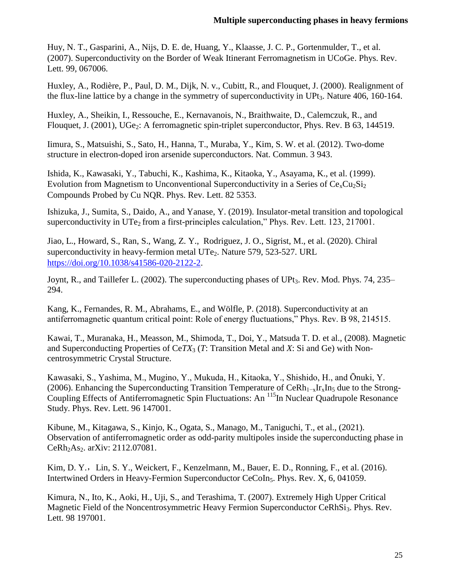Huy, N. T., Gasparini, A., Nijs, D. E. de, Huang, Y., Klaasse, J. C. P., Gortenmulder, T., et al. (2007). Superconductivity on the Border of Weak Itinerant Ferromagnetism in UCoGe. Phys. Rev. Lett. 99, 067006.

Huxley, A., Rodière, P., Paul, D. M., Dijk, N. v., Cubitt, R., and Flouquet, J. (2000). Realignment of the flux-line lattice by a change in the symmetry of superconductivity in  $UPt_3$ . Nature 406, 160-164.

Huxley, A., Sheikin, I., Ressouche, E., Kernavanois, N., Braithwaite, D., Calemczuk, R., and Flouquet, J. (2001), UGe<sub>2</sub>: A ferromagnetic spin-triplet superconductor, Phys. Rev. B 63, 144519.

Iimura, S., Matsuishi, S., Sato, H., Hanna, T., Muraba, Y., Kim, S. W. et al. (2012). Two-dome structure in electron-doped iron arsenide superconductors. Nat. Commun. 3 943.

Ishida, K., Kawasaki, Y., Tabuchi, K., Kashima, K., Kitaoka, Y., Asayama, K., et al. (1999). Evolution from Magnetism to Unconventional Superconductivity in a Series of  $Ce<sub>x</sub>Cu<sub>2</sub>Si<sub>2</sub>$ Compounds Probed by Cu NQR. Phys. Rev. Lett. 82 5353.

Ishizuka, J., Sumita, S., Daido, A., and Yanase, Y. (2019). Insulator-metal transition and topological superconductivity in  $UTe_2$  from a first-principles calculation," Phys. Rev. Lett. 123, 217001.

Jiao, L., Howard, S., Ran, S., Wang, Z. Y., Rodriguez, J. O., Sigrist, M., et al. (2020). Chiral superconductivity in heavy-fermion metal UTe<sub>2</sub>. Nature 579, 523-527. URL [https://doi.org/10.1038/s41586-020-2122-2.](https://doi.org/10.1038/s41586-020-2122-2)

Joynt, R., and Taillefer L. (2002). The superconducting phases of UPt<sub>3</sub>. Rev. Mod. Phys. 74, 235– 294.

Kang, K., Fernandes, R. M., Abrahams, E., and Wölfle, P. (2018). Superconductivity at an antiferromagnetic quantum critical point: Role of energy fluctuations," Phys. Rev. B 98, 214515.

Kawai, T., Muranaka, H., Measson, M., Shimoda, T., Doi, Y., Matsuda T. D. et al., (2008). Magnetic and Superconducting Properties of Ce*TX*<sup>3</sup> (*T*: Transition Metal and *X*: Si and Ge) with Noncentrosymmetric Crystal Structure.

Kawasaki, S., Yashima, M., Mugino, Y., Mukuda, H., Kitaoka, Y., Shishido, H., and Ōnuki, Y. (2006). Enhancing the Superconducting Transition Temperature of CeRh<sub>1-x</sub>Ir<sub>x</sub>In<sub>5</sub> due to the Strong-Coupling Effects of Antiferromagnetic Spin Fluctuations: An <sup>115</sup>In Nuclear Quadrupole Resonance Study. Phys. Rev. Lett. 96 147001.

Kibune, M., Kitagawa, S., Kinjo, K., Ogata, S., Manago, M., Taniguchi, T., et al., (2021). Observation of antiferromagnetic order as odd-parity multipoles inside the superconducting phase in CeRh<sub>2</sub>As<sub>2</sub>. arXiv: 2112.07081.

Kim, D. Y., Lin, S. Y., Weickert, F., Kenzelmann, M., Bauer, E. D., Ronning, F., et al. (2016). Intertwined Orders in Heavy-Fermion Superconductor CeCoIn<sub>5</sub>. Phys. Rev. X, 6, 041059.

Kimura, N., Ito, K., Aoki, H., Uji, S., and Terashima, T. (2007). Extremely High Upper Critical Magnetic Field of the Noncentrosymmetric Heavy Fermion Superconductor CeRhSi<sub>3</sub>. Phys. Rev. Lett. 98 197001.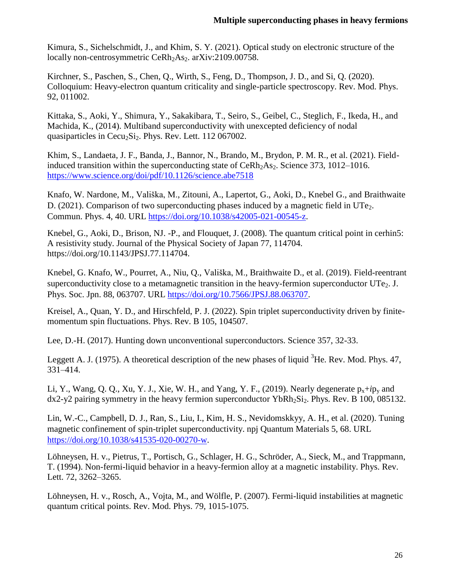Kimura, S., Sichelschmidt, J., and Khim, S. Y. (2021). Optical study on electronic structure of the locally non-centrosymmetric CeRh<sub>2</sub>As<sub>2</sub>. arXiv:2109.00758.

Kirchner, S., Paschen, S., Chen, Q., Wirth, S., Feng, D., Thompson, J. D., and Si, Q. (2020). Colloquium: Heavy-electron quantum criticality and single-particle spectroscopy. Rev. Mod. Phys. 92, 011002.

Kittaka, S., Aoki, Y., Shimura, Y., Sakakibara, T., Seiro, S., Geibel, C., Steglich, F., Ikeda, H., and Machida, K., (2014). Multiband superconductivity with unexcepted deficiency of nodal quasiparticles in Cecu<sub>2</sub>Si<sub>2</sub>. Phys. Rev. Lett. 112 067002.

Khim, S., Landaeta, J. F., Banda, J., Bannor, N., Brando, M., Brydon, P. M. R., et al. (2021). Fieldinduced transition within the superconducting state of  $Certh<sub>2</sub>As<sub>2</sub>$ . Science 373, 1012–1016. <https://www.science.org/doi/pdf/10.1126/science.abe7518>

Knafo, W. Nardone, M., Vališka, M., Zitouni, A., Lapertot, G., Aoki, D., Knebel G., and Braithwaite D. (2021). Comparison of two superconducting phases induced by a magnetic field in UTe<sub>2</sub>. Commun. Phys. 4, 40. URL [https://doi.org/10.1038/s42005-021-00545-z.](https://doi.org/10.1038/s42005-021-00545-z)

Knebel, G., Aoki, D., Brison, NJ. -P., and Flouquet, J. (2008). The quantum critical point in cerhin5: A resistivity study. Journal of the Physical Society of Japan 77, 114704. https://doi.org/10.1143/JPSJ.77.114704.

Knebel, G. Knafo, W., Pourret, A., Niu, Q., Vališka, M., Braithwaite D., et al. (2019). Field-reentrant superconductivity close to a metamagnetic transition in the heavy-fermion superconductor  $\text{UTe}_2$ . J. Phys. Soc. Jpn. 88, 063707. URL [https://doi.org/10.7566/JPSJ.88.063707.](https://doi.org/10.7566/JPSJ.88.063707)

Kreisel, A., Quan, Y. D., and Hirschfeld, P. J. (2022). Spin triplet superconductivity driven by finitemomentum spin fluctuations. Phys. Rev. B 105, 104507.

Lee, D.-H. (2017). Hunting down unconventional superconductors. Science 357, 32-33.

Leggett A. J. (1975). A theoretical description of the new phases of liquid  ${}^{3}$ He. Rev. Mod. Phys. 47, 331–414.

Li, Y., Wang, Q. Q., Xu, Y. J., Xie, W. H., and Yang, Y. F., (2019). Nearly degenerate  $p_x+ip_y$  and  $dx^2-y^2$  pairing symmetry in the heavy fermion superconductor YbRh<sub>2</sub>Si<sub>2</sub>. Phys. Rev. B 100, 085132.

Lin, W.-C., Campbell, D. J., Ran, S., Liu, I., Kim, H. S., Nevidomskkyy, A. H., et al. (2020). Tuning magnetic confinement of spin-triplet superconductivity. npj Quantum Materials 5, 68. URL [https://doi.org/10.1038/s41535-020-00270-w.](https://doi.org/10.1038/s41535-020-00270-w)

Löhneysen, H. v., Pietrus, T., Portisch, G., Schlager, H. G., Schröder, A., Sieck, M., and Trappmann, T. (1994). Non-fermi-liquid behavior in a heavy-fermion alloy at a magnetic instability. Phys. Rev. Lett. 72, 3262–3265.

Löhneysen, H. v., Rosch, A., Vojta, M., and Wölfle, P. (2007). Fermi-liquid instabilities at magnetic quantum critical points. Rev. Mod. Phys. 79, 1015-1075.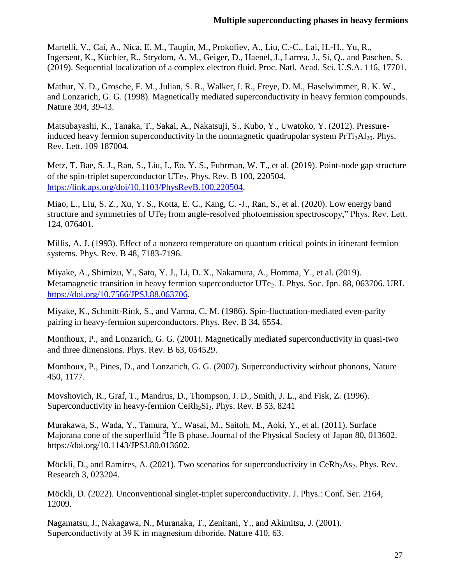Martelli, V., Cai, A., Nica, E. M., Taupin, M., Prokofiev, A., Liu, C.-C., Lai, H.-H., Yu, R., Ingersent, K., Küchler, R., Strydom, A. M., Geiger, D., Haenel, J., Larrea, J., Si, Q., and Paschen, S. (2019). Sequential localization of a complex electron fluid. Proc. Natl. Acad. Sci. U.S.A. 116, 17701.

Mathur, N. D., Grosche, F. M., Julian, S. R., Walker, I. R., Freye, D. M., Haselwimmer, R. K. W., and Lonzarich, G. G. (1998). Magnetically mediated superconductivity in heavy fermion compounds. Nature 394, 39-43.

Matsubayashi, K., Tanaka, T., Sakai, A., Nakatsuji, S., Kubo, Y., Uwatoko, Y. (2012). Pressureinduced heavy fermion superconductivity in the nonmagnetic quadrupolar system  $PrTi<sub>2</sub>Al<sub>20</sub>$ . Phys. Rev. Lett. 109 187004.

Metz, T. Bae, S. J., Ran, S., Liu, I., Eo, Y. S., Fuhrman, W. T., et al. (2019). Point-node gap structure of the spin-triplet superconductor UTe2. Phys. Rev. B 100, 220504. [https://link.aps.org/doi/10.1103/PhysRevB.100.220504.](https://link.aps.org/doi/10.1103/PhysRevB.100.220504)

Miao, L., Liu, S. Z., Xu, Y. S., Kotta, E. C., Kang, C. -J., Ran, S., et al. (2020). Low energy band structure and symmetries of UTe<sub>2</sub> from angle-resolved photoemission spectroscopy," Phys. Rev. Lett. 124, 076401.

Millis, A. J. (1993). Effect of a nonzero temperature on quantum critical points in itinerant fermion systems. Phys. Rev. B 48, 7183-7196.

Miyake, A., Shimizu, Y., Sato, Y. J., Li, D. X., Nakamura, A., Homma, Y., et al. (2019). Metamagnetic transition in heavy fermion superconductor UTe<sub>2</sub>. J. Phys. Soc. Jpn. 88, 063706. URL [https://doi.org/10.7566/JPSJ.88.063706.](https://doi.org/10.7566/JPSJ.88.063706)

Miyake, K., Schmitt-Rink, S., and Varma, C. M. (1986). Spin-fluctuation-mediated even-parity pairing in heavy-fermion superconductors. Phys. Rev. B 34, 6554.

Monthoux, P., and Lonzarich, G. G. (2001). Magnetically mediated superconductivity in quasi-two and three dimensions. Phys. Rev. B 63, 054529.

Monthoux, P., Pines, D., and Lonzarich, G. G. (2007). Superconductivity without phonons, Nature 450, 1177.

Movshovich, R., Graf, T., Mandrus, D., Thompson, J. D., Smith, J. L., and Fisk, Z. (1996). Superconductivity in heavy-fermion Ce $Rh_2Si_2$ . Phys. Rev. B 53, 8241

Murakawa, S., Wada, Y., Tamura, Y., Wasai, M., Saitoh, M., Aoki, Y., et al. (2011). Surface Majorana cone of the superfluid <sup>3</sup>He B phase. Journal of the Physical Society of Japan 80, 013602. https://doi.org/10.1143/JPSJ.80.013602.

Möckli, D., and Ramires, A. (2021). Two scenarios for superconductivity in  $CerRb<sub>2</sub>As<sub>2</sub>$ . Phys. Rev. Research 3, 023204.

Möckli, D. (2022). Unconventional singlet-triplet superconductivity. J. Phys.: Conf. Ser. 2164, 12009.

Nagamatsu, J., Nakagawa, N., Muranaka, T., Zenitani, Y., and Akimitsu, J. (2001). Superconductivity at 39 K in magnesium diboride. Nature 410, 63.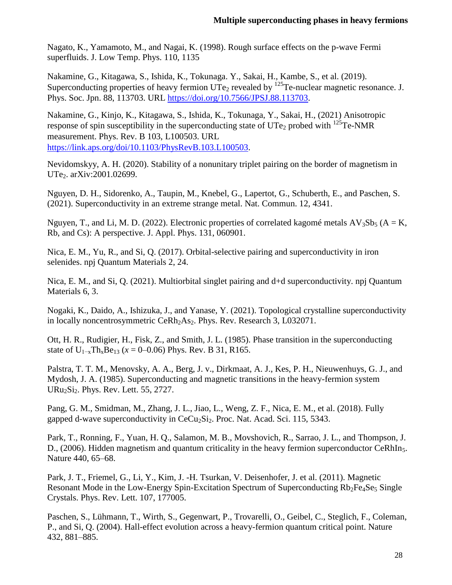Nagato, K., Yamamoto, M., and Nagai, K. (1998). Rough surface effects on the p-wave Fermi superfluids. J. Low Temp. Phys. 110, 1135

Nakamine, G., Kitagawa, S., Ishida, K., Tokunaga. Y., Sakai, H., Kambe, S., et al. (2019). Superconducting properties of heavy fermion  $UTe_2$  revealed by  $^{125}$ Te-nuclear magnetic resonance. J. Phys. Soc. Jpn. 88, 113703. URL [https://doi.org/10.7566/JPSJ.88.113703.](https://doi.org/10.7566/JPSJ.88.113703)

Nakamine, G., Kinjo, K., Kitagawa, S., Ishida, K., Tokunaga, Y., Sakai, H., (2021) Anisotropic response of spin susceptibility in the superconducting state of  $UTE<sub>2</sub>$  probed with  $^{125}Te\text{-NMR}$ measurement. Phys. Rev. B 103, L100503. URL [https://link.aps.org/doi/10.1103/PhysRevB.103.L100503.](https://link.aps.org/doi/10.1103/PhysRevB.103.L100503)

Nevidomskyy, A. H. (2020). Stability of a nonunitary triplet pairing on the border of magnetism in UTe<sub>2</sub>. arXiv:2001.02699.

Nguyen, D. H., Sidorenko, A., Taupin, M., Knebel, G., Lapertot, G., Schuberth, E., and Paschen, S. (2021). Superconductivity in an extreme strange metal. Nat. Commun. 12, 4341.

Nguyen, T., and Li, M. D. (2022). Electronic properties of correlated kagomé metals  $AV_3Sb_5$  ( $A = K$ , Rb, and Cs): A perspective. J. Appl. Phys. 131, 060901.

Nica, E. M., Yu, R., and Si, Q. (2017). Orbital-selective pairing and superconductivity in iron selenides. npj Quantum Materials 2, 24.

Nica, E. M., and Si, Q. (2021). Multiorbital singlet pairing and d+d superconductivity. npj Quantum Materials 6, 3.

Nogaki, K., Daido, A., Ishizuka, J., and Yanase, Y. (2021). Topological crystalline superconductivity in locally noncentrosymmetric CeRh<sub>2</sub>As<sub>2</sub>. Phys. Rev. Research 3, L032071.

Ott, H. R., Rudigier, H., Fisk, Z., and Smith, J. L. (1985). Phase transition in the superconducting state of  $U_{1-x}$ Th<sub>x</sub>Be<sub>13</sub> ( $x = 0$ –0.06) Phys. Rev. B 31, R165.

Palstra, T. T. M., Menovsky, A. A., Berg, J. v., Dirkmaat, A. J., Kes, P. H., Nieuwenhuys, G. J., and Mydosh, J. A. (1985). Superconducting and magnetic transitions in the heavy-fermion system URu2Si2. Phys. Rev. Lett. 55, 2727.

Pang, G. M., Smidman, M., Zhang, J. L., Jiao, L., Weng, Z. F., Nica, E. M., et al. (2018). Fully gapped d-wave superconductivity in  $CeCu<sub>2</sub>Si<sub>2</sub>$ . Proc. Nat. Acad. Sci. 115, 5343.

Park, T., Ronning, F., Yuan, H. Q., Salamon, M. B., Movshovich, R., Sarrao, J. L., and Thompson, J. D., (2006). Hidden magnetism and quantum criticality in the heavy fermion superconductor CeRhIn<sub>5</sub>. Nature 440, 65–68.

Park, J. T., Friemel, G., Li, Y., Kim, J. -H. Tsurkan, V. Deisenhofer, J. et al. (2011). Magnetic Resonant Mode in the Low-Energy Spin-Excitation Spectrum of Superconducting Rb<sub>2</sub>Fe<sub>4</sub>Se<sub>5</sub> Single Crystals. Phys. Rev. Lett. 107, 177005.

Paschen, S., Lühmann, T., Wirth, S., Gegenwart, P., Trovarelli, O., Geibel, C., Steglich, F., Coleman, P., and Si, Q. (2004). Hall-effect evolution across a heavy-fermion quantum critical point. Nature 432, 881–885.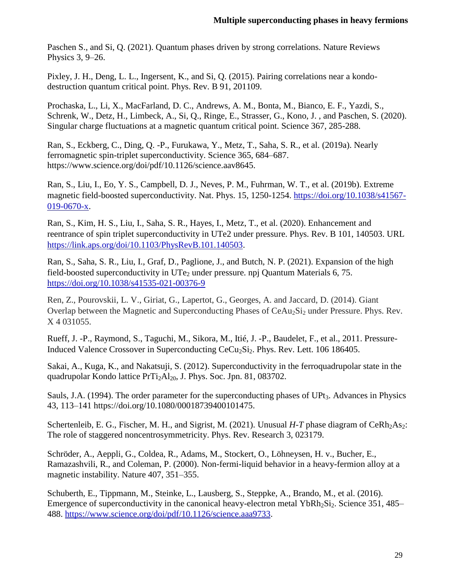Paschen S., and Si, Q. (2021). Quantum phases driven by strong correlations. Nature Reviews Physics 3, 9–26.

Pixley, J. H., Deng, L. L., Ingersent, K., and Si, Q. (2015). Pairing correlations near a kondodestruction quantum critical point. Phys. Rev. B 91, 201109.

Prochaska, L., Li, X., MacFarland, D. C., Andrews, A. M., Bonta, M., Bianco, E. F., Yazdi, S., Schrenk, W., Detz, H., Limbeck, A., Si, Q., Ringe, E., Strasser, G., Kono, J. , and Paschen, S. (2020). Singular charge fluctuations at a magnetic quantum critical point. Science 367, 285-288.

Ran, S., Eckberg, C., Ding, Q. -P., Furukawa, Y., Metz, T., Saha, S. R., et al. (2019a). Nearly ferromagnetic spin-triplet superconductivity. Science 365, 684–687. https://www.science.org/doi/pdf/10.1126/science.aav8645.

Ran, S., Liu, I., Eo, Y. S., Campbell, D. J., Neves, P. M., Fuhrman, W. T., et al. (2019b). Extreme magnetic field-boosted superconductivity. Nat. Phys. 15, 1250-1254. [https://doi.org/10.1038/s41567-](https://doi.org/10.1038/s41567-019-0670-x) [019-0670-x.](https://doi.org/10.1038/s41567-019-0670-x)

Ran, S., Kim, H. S., Liu, I., Saha, S. R., Hayes, I., Metz, T., et al. (2020). Enhancement and reentrance of spin triplet superconductivity in UTe2 under pressure. Phys. Rev. B 101, 140503. URL [https://link.aps.org/doi/10.1103/PhysRevB.101.140503.](https://link.aps.org/doi/10.1103/PhysRevB.101.140503)

Ran, S., Saha, S. R., Liu, I., Graf, D., Paglione, J., and Butch, N. P. (2021). Expansion of the high field-boosted superconductivity in UTe<sub>2</sub> under pressure. npj Quantum Materials 6, 75. <https://doi.org/10.1038/s41535-021-00376-9>

Ren, Z., Pourovskii, L. V., Giriat, G., Lapertot, G., Georges, A. and Jaccard, D. (2014). Giant Overlap between the Magnetic and Superconducting Phases of CeAu<sub>2</sub>Si<sub>2</sub> under Pressure. Phys. Rev. X 4 031055.

Rueff, J. -P., Raymond, S., Taguchi, M., Sikora, M., Itié, J. -P., Baudelet, F., et al., 2011. Pressure-Induced Valence Crossover in Superconducting CeCu<sub>2</sub>Si<sub>2</sub>. Phys. Rev. Lett. 106 186405.

Sakai, A., Kuga, K., and Nakatsuji, S. (2012). Superconductivity in the ferroquadrupolar state in the quadrupolar Kondo lattice  $PrTi<sub>2</sub>Al<sub>20</sub>$ , J. Phys. Soc. Jpn. 81, 083702.

Sauls, J.A. (1994). The order parameter for the superconducting phases of UPt<sub>3</sub>. Advances in Physics 43, 113–141 https://doi.org/10.1080/00018739400101475.

Schertenleib, E. G., Fischer, M. H., and Sigrist, M. (2021). Unusual *H-T* phase diagram of CeRh<sub>2</sub>As<sub>2</sub>: The role of staggered noncentrosymmetricity. Phys. Rev. Research 3, 023179.

Schröder, A., Aeppli, G., Coldea, R., Adams, M., Stockert, O., Löhneysen, H. v., Bucher, E., Ramazashvili, R., and Coleman, P. (2000). Non-fermi-liquid behavior in a heavy-fermion alloy at a magnetic instability. Nature 407, 351–355.

Schuberth, E., Tippmann, M., Steinke, L., Lausberg, S., Steppke, A., Brando, M., et al. (2016). Emergence of superconductivity in the canonical heavy-electron metal  $YbRh_2Si_2$ . Science 351, 485– 488. [https://www.science.org/doi/pdf/10.1126/science.aaa9733.](https://www.science.org/doi/pdf/10.1126/science.aaa9733)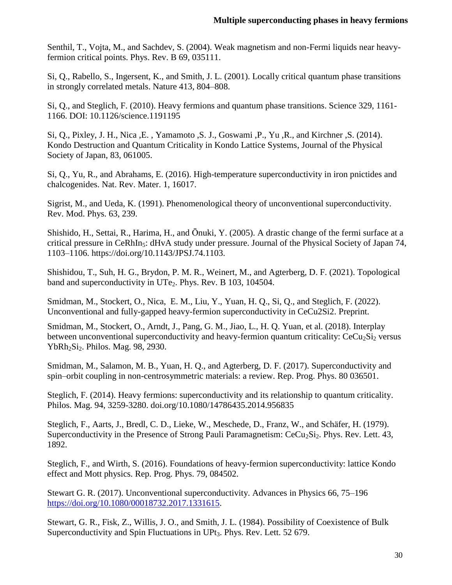Senthil, T., Vojta, M., and Sachdev, S. (2004). Weak magnetism and non-Fermi liquids near heavyfermion critical points. Phys. Rev. B 69, 035111.

Si, Q., Rabello, S., Ingersent, K., and Smith, J. L. (2001). Locally critical quantum phase transitions in strongly correlated metals. Nature 413, 804–808.

Si, Q., and Steglich, F. (2010). Heavy fermions and quantum phase transitions. Science 329, 1161- 1166. DOI: 10.1126/science.1191195

Si, Q., Pixley, J. H., Nica ,E. , Yamamoto ,S. J., Goswami ,P., Yu ,R., and Kirchner ,S. (2014). Kondo Destruction and Quantum Criticality in Kondo Lattice Systems, Journal of the Physical Society of Japan, 83, 061005.

Si, Q., Yu, R., and Abrahams, E. (2016). High-temperature superconductivity in iron pnictides and chalcogenides. Nat. Rev. Mater. 1, 16017.

Sigrist, M., and Ueda, K. (1991). Phenomenological theory of unconventional superconductivity. Rev. Mod. Phys. 63, 239.

Shishido, H., Settai, R., Harima, H., and Ōnuki, Y. (2005). A drastic change of the fermi surface at a critical pressure in CeRhIn<sub>5</sub>: dHvA study under pressure. Journal of the Physical Society of Japan 74, 1103–1106. https://doi.org/10.1143/JPSJ.74.1103.

Shishidou, T., Suh, H. G., Brydon, P. M. R., Weinert, M., and Agterberg, D. F. (2021). Topological band and superconductivity in UTe<sub>2</sub>. Phys. Rev. B 103, 104504.

Smidman, M., Stockert, O., Nica, E. M., Liu, Y., Yuan, H. Q., Si, Q., and Steglich, F. (2022). Unconventional and fully-gapped heavy-fermion superconductivity in CeCu2Si2. Preprint.

Smidman, M., Stockert, O., Arndt, J., Pang, G. M., Jiao, L., H. Q. Yuan, et al. (2018). Interplay between unconventional superconductivity and heavy-fermion quantum criticality:  $CeCu<sub>2</sub>Si<sub>2</sub>$  versus YbRh<sub>2</sub>Si<sub>2</sub>. Philos. Mag. 98, 2930.

Smidman, M., Salamon, M. B., Yuan, H. Q., and Agterberg, D. F. (2017). Superconductivity and spin–orbit coupling in non-centrosymmetric materials: a review. Rep. Prog. Phys. 80 036501.

Steglich, F. (2014). Heavy fermions: superconductivity and its relationship to quantum criticality. Philos. Mag. 94, 3259-3280. doi.org/10.1080/14786435.2014.956835

Steglich, F., Aarts, J., Bredl, C. D., Lieke, W., Meschede, D., Franz, W., and Schäfer, H. (1979). Superconductivity in the Presence of Strong Pauli Paramagnetism:  $CeCu<sub>2</sub>Si<sub>2</sub>$ . Phys. Rev. Lett. 43, 1892.

Steglich, F., and Wirth, S. (2016). Foundations of heavy-fermion superconductivity: lattice Kondo effect and Mott physics. Rep. Prog. Phys. 79, 084502.

Stewart G. R. (2017). Unconventional superconductivity. Advances in Physics 66, 75–196 [https://doi.org/10.1080/00018732.2017.1331615.](https://doi.org/10.1080/00018732.2017.1331615)

Stewart, G. R., Fisk, Z., Willis, J. O., and Smith, J. L. (1984). Possibility of Coexistence of Bulk Superconductivity and Spin Fluctuations in UPt<sub>3</sub>. Phys. Rev. Lett. 52 679.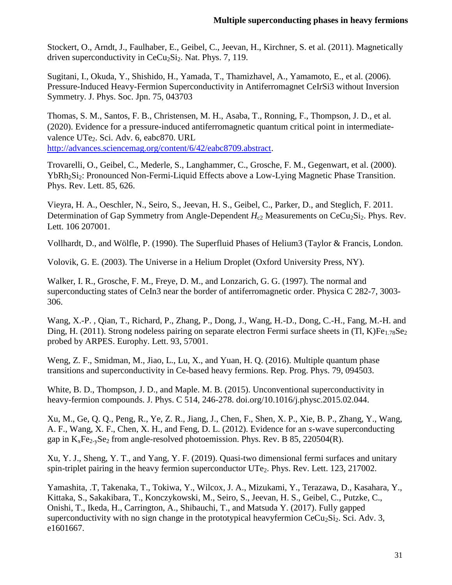Stockert, O., Arndt, J., Faulhaber, E., Geibel, C., Jeevan, H., Kirchner, S. et al. (2011). Magnetically driven superconductivity in  $CeCu<sub>2</sub>Si<sub>2</sub>$ . Nat. Phys. 7, 119.

Sugitani, I., Okuda, Y., Shishido, H., Yamada, T., Thamizhavel, A., Yamamoto, E., et al. (2006). Pressure-Induced Heavy-Fermion Superconductivity in Antiferromagnet CeIrSi3 without Inversion Symmetry. J. Phys. Soc. Jpn. 75, 043703

Thomas, S. M., Santos, F. B., Christensen, M. H., Asaba, T., Ronning, F., Thompson, J. D., et al. (2020). Evidence for a pressure-induced antiferromagnetic quantum critical point in intermediatevalence UTe<sub>2</sub>. Sci. Adv. 6, eabc870. URL [http://advances.sciencemag.org/content/6/42/eabc8709.abstract.](http://advances.sciencemag.org/content/6/42/eabc8709.abstract)

Trovarelli, O., Geibel, C., Mederle, S., Langhammer, C., Grosche, F. M., Gegenwart, et al. (2000). YbRh<sub>2</sub>Si<sub>2</sub>: Pronounced Non-Fermi-Liquid Effects above a Low-Lying Magnetic Phase Transition. Phys. Rev. Lett. 85, 626.

Vieyra, H. A., Oeschler, N., Seiro, S., Jeevan, H. S., Geibel, C., Parker, D., and Steglich, F. 2011. Determination of Gap Symmetry from Angle-Dependent *H*<sub>c2</sub> Measurements on CeCu<sub>2</sub>Si<sub>2</sub>. Phys. Rev. Lett. 106 207001.

Vollhardt, D., and Wölfle, P. (1990). The Superfluid Phases of Helium3 (Taylor & Francis, London.

Volovik, G. E. (2003). The Universe in a Helium Droplet (Oxford University Press, NY).

Walker, I. R., Grosche, F. M., Freye, D. M., and Lonzarich, G. G. (1997). The normal and superconducting states of CeIn3 near the border of antiferromagnetic order. Physica C 282-7, 3003- 306.

Wang, X.-P. , Qian, T., Richard, P., Zhang, P., Dong, J., Wang, H.-D., Dong, C.-H., Fang, M.-H. and Ding, H. (2011). Strong nodeless pairing on separate electron Fermi surface sheets in (Tl, K)Fe<sub>1.78</sub>Se<sub>2</sub> probed by ARPES. Europhy. Lett. 93, 57001.

Weng, Z. F., Smidman, M., Jiao, L., Lu, X., and Yuan, H. Q. (2016). Multiple quantum phase transitions and superconductivity in Ce-based heavy fermions. Rep. Prog. Phys. 79, 094503.

White, B. D., Thompson, J. D., and Maple. M. B. (2015). Unconventional superconductivity in heavy-fermion compounds. J. Phys. C 514, 246-278. doi.org/10.1016/j.physc.2015.02.044.

Xu, M., Ge, Q. Q., Peng, R., Ye, Z. R., Jiang, J., Chen, F., Shen, X. P., Xie, B. P., Zhang, Y., Wang, A. F., Wang, X. F., Chen, X. H., and Feng, D. L. (2012). Evidence for an *s*-wave superconducting gap in  $K_xFe_{2-x}Se_2$  from angle-resolved photoemission. Phys. Rev. B 85, 220504(R).

Xu, Y. J., Sheng, Y. T., and Yang, Y. F. (2019). Quasi-two dimensional fermi surfaces and unitary spin-triplet pairing in the heavy fermion superconductor  $UT_{e_2}$ . Phys. Rev. Lett. 123, 217002.

Yamashita, .T, Takenaka, T., Tokiwa, Y., Wilcox, J. A., Mizukami, Y., Terazawa, D., Kasahara, Y., Kittaka, S., Sakakibara, T., Konczykowski, M., Seiro, S., Jeevan, H. S., Geibel, C., Putzke, C., Onishi, T., Ikeda, H., Carrington, A., Shibauchi, T., and Matsuda Y. (2017). Fully gapped superconductivity with no sign change in the prototypical heavyfermion  $CeCu<sub>2</sub>Si<sub>2</sub>$ . Sci. Adv. 3, e1601667.